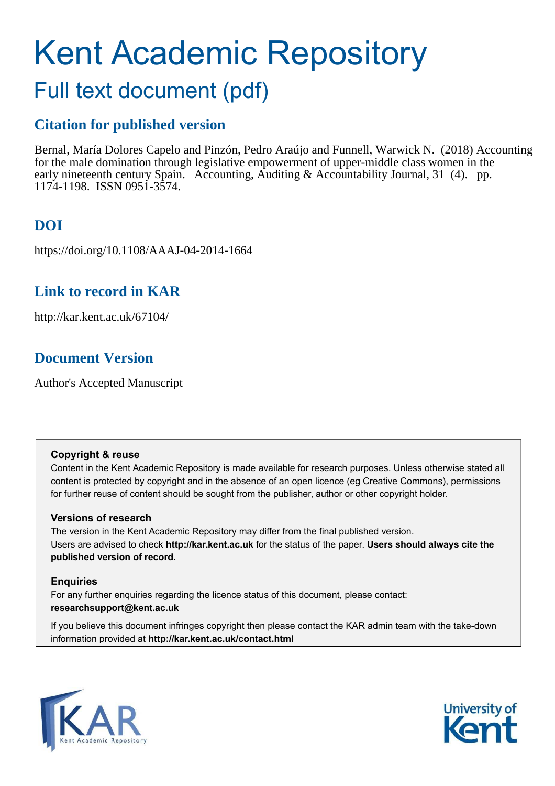# Kent Academic Repository

## Full text document (pdf)

## **Citation for published version**

Bernal, María Dolores Capelo and Pinzón, Pedro Araújo and Funnell, Warwick N. (2018) Accounting for the male domination through legislative empowerment of upper-middle class women in the early nineteenth century Spain. Accounting, Auditing & Accountability Journal, 31 (4). pp. 1174-1198. ISSN 0951-3574.

## **DOI**

https://doi.org/10.1108/AAAJ-04-2014-1664

## **Link to record in KAR**

http://kar.kent.ac.uk/67104/

## **Document Version**

Author's Accepted Manuscript

#### **Copyright & reuse**

Content in the Kent Academic Repository is made available for research purposes. Unless otherwise stated all content is protected by copyright and in the absence of an open licence (eg Creative Commons), permissions for further reuse of content should be sought from the publisher, author or other copyright holder.

#### **Versions of research**

The version in the Kent Academic Repository may differ from the final published version. Users are advised to check **http://kar.kent.ac.uk** for the status of the paper. **Users should always cite the published version of record.**

#### **Enquiries**

For any further enquiries regarding the licence status of this document, please contact: **researchsupport@kent.ac.uk**

If you believe this document infringes copyright then please contact the KAR admin team with the take-down information provided at **http://kar.kent.ac.uk/contact.html**



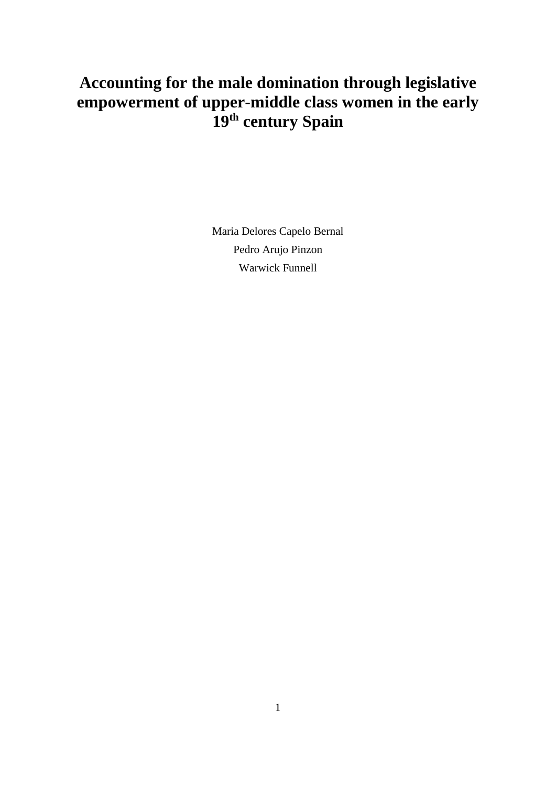## **Accounting for the male domination through legislative empowerment of upper-middle class women in the early 19th century Spain**

Maria Delores Capelo Bernal Pedro Arujo Pinzon Warwick Funnell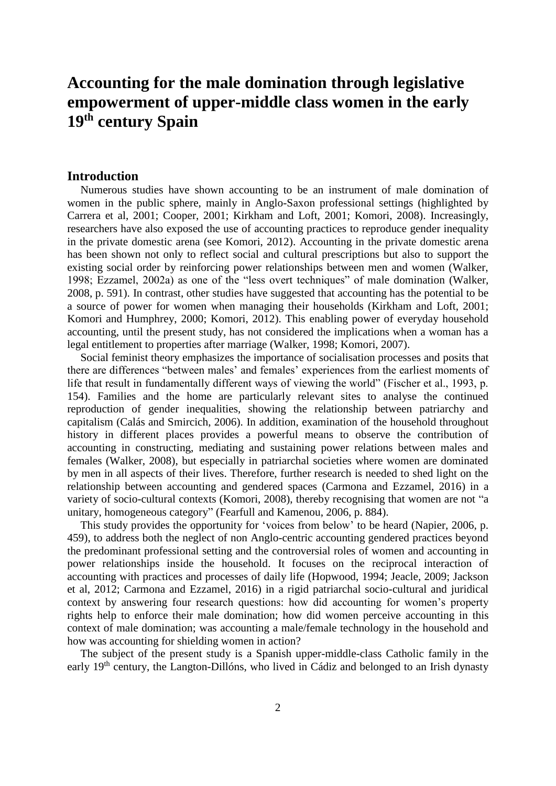## **Accounting for the male domination through legislative empowerment of upper-middle class women in the early 19th century Spain**

#### **Introduction**

Numerous studies have shown accounting to be an instrument of male domination of women in the public sphere, mainly in Anglo-Saxon professional settings (highlighted by Carrera et al, 2001; Cooper, 2001; Kirkham and Loft, 2001; Komori, 2008). Increasingly, researchers have also exposed the use of accounting practices to reproduce gender inequality in the private domestic arena (see Komori, 2012). Accounting in the private domestic arena has been shown not only to reflect social and cultural prescriptions but also to support the existing social order by reinforcing power relationships between men and women (Walker, 1998; Ezzamel, 2002a) as one of the "less overt techniques" of male domination (Walker, 2008, p. 591). In contrast, other studies have suggested that accounting has the potential to be a source of power for women when managing their households (Kirkham and Loft, 2001; Komori and Humphrey, 2000; Komori, 2012). This enabling power of everyday household accounting, until the present study, has not considered the implications when a woman has a legal entitlement to properties after marriage (Walker, 1998; Komori, 2007).

Social feminist theory emphasizes the importance of socialisation processes and posits that there are differences "between males' and females' experiences from the earliest moments of life that result in fundamentally different ways of viewing the world" (Fischer et al., 1993, p. 154). Families and the home are particularly relevant sites to analyse the continued reproduction of gender inequalities, showing the relationship between patriarchy and capitalism (Calás and Smircich, 2006). In addition, examination of the household throughout history in different places provides a powerful means to observe the contribution of accounting in constructing, mediating and sustaining power relations between males and females (Walker, 2008), but especially in patriarchal societies where women are dominated by men in all aspects of their lives. Therefore, further research is needed to shed light on the relationship between accounting and gendered spaces (Carmona and Ezzamel, 2016) in a variety of socio-cultural contexts (Komori, 2008), thereby recognising that women are not "a unitary, homogeneous category" (Fearfull and Kamenou, 2006, p. 884).

This study provides the opportunity for 'voices from below' to be heard (Napier, 2006, p. 459), to address both the neglect of non Anglo-centric accounting gendered practices beyond the predominant professional setting and the controversial roles of women and accounting in power relationships inside the household. It focuses on the reciprocal interaction of accounting with practices and processes of daily life (Hopwood, 1994; Jeacle, 2009; Jackson et al, 2012; Carmona and Ezzamel, 2016) in a rigid patriarchal socio-cultural and juridical context by answering four research questions: how did accounting for women's property rights help to enforce their male domination; how did women perceive accounting in this context of male domination; was accounting a male/female technology in the household and how was accounting for shielding women in action?

The subject of the present study is a Spanish upper-middle-class Catholic family in the early 19<sup>th</sup> century, the Langton-Dillóns, who lived in Cádiz and belonged to an Irish dynasty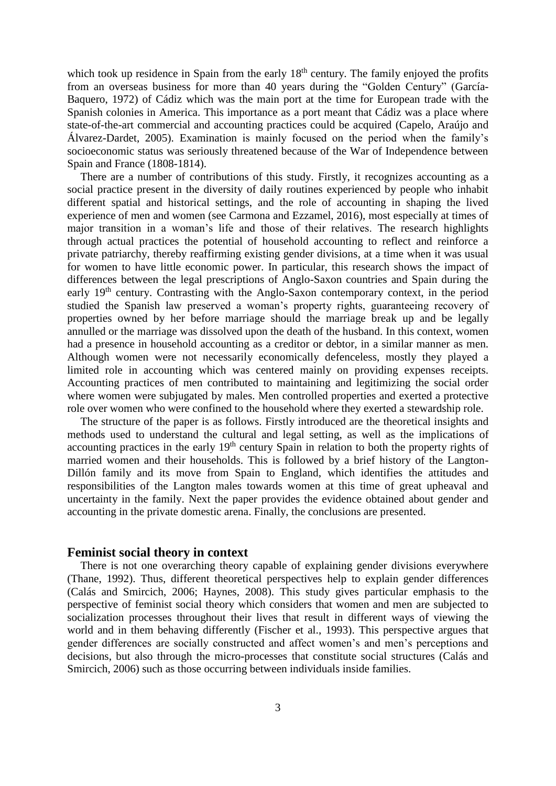which took up residence in Spain from the early 18<sup>th</sup> century. The family enjoyed the profits from an overseas business for more than 40 years during the "Golden Century" (García-Baquero, 1972) of Cádiz which was the main port at the time for European trade with the Spanish colonies in America. This importance as a port meant that Cádiz was a place where state-of-the-art commercial and accounting practices could be acquired (Capelo, Araújo and Álvarez-Dardet, 2005). Examination is mainly focused on the period when the family's socioeconomic status was seriously threatened because of the War of Independence between Spain and France (1808-1814).

There are a number of contributions of this study. Firstly, it recognizes accounting as a social practice present in the diversity of daily routines experienced by people who inhabit different spatial and historical settings, and the role of accounting in shaping the lived experience of men and women (see Carmona and Ezzamel, 2016), most especially at times of major transition in a woman's life and those of their relatives. The research highlights through actual practices the potential of household accounting to reflect and reinforce a private patriarchy, thereby reaffirming existing gender divisions, at a time when it was usual for women to have little economic power. In particular, this research shows the impact of differences between the legal prescriptions of Anglo-Saxon countries and Spain during the early 19th century. Contrasting with the Anglo-Saxon contemporary context, in the period studied the Spanish law preserved a woman's property rights, guaranteeing recovery of properties owned by her before marriage should the marriage break up and be legally annulled or the marriage was dissolved upon the death of the husband. In this context, women had a presence in household accounting as a creditor or debtor, in a similar manner as men. Although women were not necessarily economically defenceless, mostly they played a limited role in accounting which was centered mainly on providing expenses receipts. Accounting practices of men contributed to maintaining and legitimizing the social order where women were subjugated by males. Men controlled properties and exerted a protective role over women who were confined to the household where they exerted a stewardship role.

The structure of the paper is as follows. Firstly introduced are the theoretical insights and methods used to understand the cultural and legal setting, as well as the implications of accounting practices in the early 19<sup>th</sup> century Spain in relation to both the property rights of married women and their households. This is followed by a brief history of the Langton-Dillón family and its move from Spain to England, which identifies the attitudes and responsibilities of the Langton males towards women at this time of great upheaval and uncertainty in the family. Next the paper provides the evidence obtained about gender and accounting in the private domestic arena. Finally, the conclusions are presented.

#### **Feminist social theory in context**

There is not one overarching theory capable of explaining gender divisions everywhere (Thane, 1992). Thus, different theoretical perspectives help to explain gender differences (Calás and Smircich, 2006; Haynes, 2008). This study gives particular emphasis to the perspective of feminist social theory which considers that women and men are subjected to socialization processes throughout their lives that result in different ways of viewing the world and in them behaving differently (Fischer et al., 1993). This perspective argues that gender differences are socially constructed and affect women's and men's perceptions and decisions, but also through the micro-processes that constitute social structures (Calás and Smircich, 2006) such as those occurring between individuals inside families.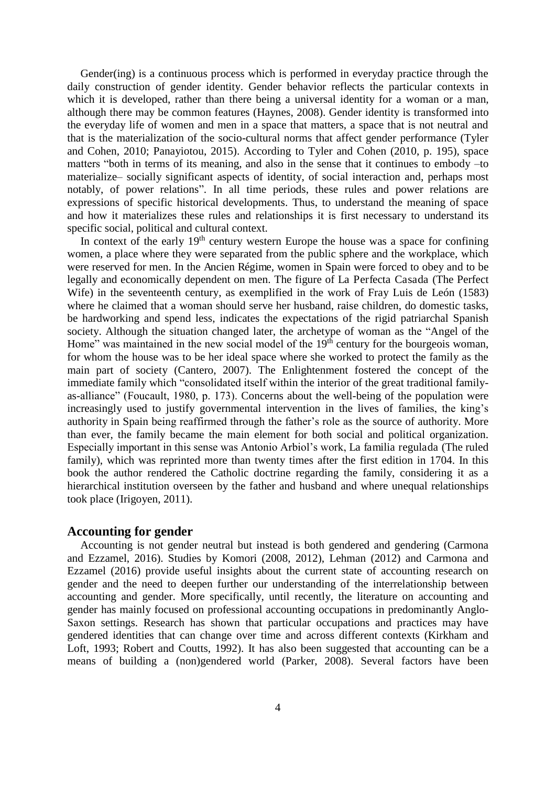Gender(ing) is a continuous process which is performed in everyday practice through the daily construction of gender identity. Gender behavior reflects the particular contexts in which it is developed, rather than there being a universal identity for a woman or a man, although there may be common features (Haynes, 2008). Gender identity is transformed into the everyday life of women and men in a space that matters, a space that is not neutral and that is the materialization of the socio-cultural norms that affect gender performance (Tyler and Cohen, 2010; Panayiotou, 2015). According to Tyler and Cohen (2010, p. 195), space matters "both in terms of its meaning, and also in the sense that it continues to embody –to materialize– socially significant aspects of identity, of social interaction and, perhaps most notably, of power relations". In all time periods, these rules and power relations are expressions of specific historical developments. Thus, to understand the meaning of space and how it materializes these rules and relationships it is first necessary to understand its specific social, political and cultural context.

In context of the early  $19<sup>th</sup>$  century western Europe the house was a space for confining women, a place where they were separated from the public sphere and the workplace, which were reserved for men. In the Ancien Régime, women in Spain were forced to obey and to be legally and economically dependent on men. The figure of La Perfecta Casada (The Perfect Wife) in the seventeenth century, as exemplified in the work of Fray Luis de León (1583) where he claimed that a woman should serve her husband, raise children, do domestic tasks, be hardworking and spend less, indicates the expectations of the rigid patriarchal Spanish society. Although the situation changed later, the archetype of woman as the "Angel of the Home" was maintained in the new social model of the  $19<sup>th</sup>$  century for the bourgeois woman, for whom the house was to be her ideal space where she worked to protect the family as the main part of society (Cantero, 2007). The Enlightenment fostered the concept of the immediate family which "consolidated itself within the interior of the great traditional familyas-alliance" (Foucault, 1980, p. 173). Concerns about the well-being of the population were increasingly used to justify governmental intervention in the lives of families, the king's authority in Spain being reaffirmed through the father's role as the source of authority. More than ever, the family became the main element for both social and political organization. Especially important in this sense was Antonio Arbiol's work, La familia regulada (The ruled family), which was reprinted more than twenty times after the first edition in 1704. In this book the author rendered the Catholic doctrine regarding the family, considering it as a hierarchical institution overseen by the father and husband and where unequal relationships took place (Irigoyen, 2011).

#### **Accounting for gender**

Accounting is not gender neutral but instead is both gendered and gendering (Carmona and Ezzamel, 2016). Studies by Komori (2008, 2012), Lehman (2012) and Carmona and Ezzamel (2016) provide useful insights about the current state of accounting research on gender and the need to deepen further our understanding of the interrelationship between accounting and gender. More specifically, until recently, the literature on accounting and gender has mainly focused on professional accounting occupations in predominantly Anglo-Saxon settings. Research has shown that particular occupations and practices may have gendered identities that can change over time and across different contexts (Kirkham and Loft, 1993; Robert and Coutts, 1992). It has also been suggested that accounting can be a means of building a (non)gendered world (Parker, 2008). Several factors have been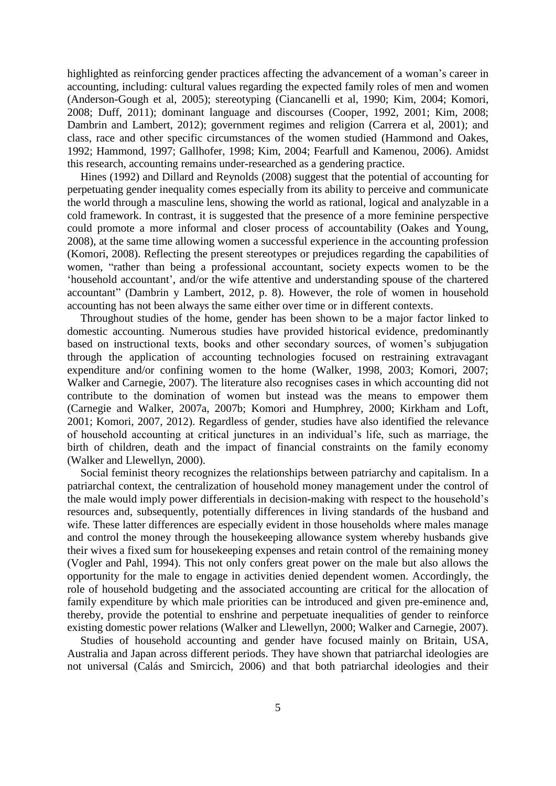highlighted as reinforcing gender practices affecting the advancement of a woman's career in accounting, including: cultural values regarding the expected family roles of men and women (Anderson-Gough et al, 2005); stereotyping (Ciancanelli et al, 1990; Kim, 2004; Komori, 2008; Duff, 2011); dominant language and discourses (Cooper, 1992, 2001; Kim, 2008; Dambrin and Lambert, 2012); government regimes and religion (Carrera et al, 2001); and class, race and other specific circumstances of the women studied (Hammond and Oakes, 1992; Hammond, 1997; Gallhofer, 1998; Kim, 2004; Fearfull and Kamenou, 2006). Amidst this research, accounting remains under-researched as a gendering practice.

Hines (1992) and Dillard and Reynolds (2008) suggest that the potential of accounting for perpetuating gender inequality comes especially from its ability to perceive and communicate the world through a masculine lens, showing the world as rational, logical and analyzable in a cold framework. In contrast, it is suggested that the presence of a more feminine perspective could promote a more informal and closer process of accountability (Oakes and Young, 2008), at the same time allowing women a successful experience in the accounting profession (Komori, 2008). Reflecting the present stereotypes or prejudices regarding the capabilities of women, "rather than being a professional accountant, society expects women to be the 'household accountant', and/or the wife attentive and understanding spouse of the chartered accountant" (Dambrin y Lambert, 2012, p. 8). However, the role of women in household accounting has not been always the same either over time or in different contexts.

Throughout studies of the home, gender has been shown to be a major factor linked to domestic accounting. Numerous studies have provided historical evidence, predominantly based on instructional texts, books and other secondary sources, of women's subjugation through the application of accounting technologies focused on restraining extravagant expenditure and/or confining women to the home (Walker, 1998, 2003; Komori, 2007; Walker and Carnegie, 2007). The literature also recognises cases in which accounting did not contribute to the domination of women but instead was the means to empower them (Carnegie and Walker, 2007a, 2007b; Komori and Humphrey, 2000; Kirkham and Loft, 2001; Komori, 2007, 2012). Regardless of gender, studies have also identified the relevance of household accounting at critical junctures in an individual's life, such as marriage, the birth of children, death and the impact of financial constraints on the family economy (Walker and Llewellyn, 2000).

Social feminist theory recognizes the relationships between patriarchy and capitalism. In a patriarchal context, the centralization of household money management under the control of the male would imply power differentials in decision-making with respect to the household's resources and, subsequently, potentially differences in living standards of the husband and wife. These latter differences are especially evident in those households where males manage and control the money through the housekeeping allowance system whereby husbands give their wives a fixed sum for housekeeping expenses and retain control of the remaining money (Vogler and Pahl, 1994). This not only confers great power on the male but also allows the opportunity for the male to engage in activities denied dependent women. Accordingly, the role of household budgeting and the associated accounting are critical for the allocation of family expenditure by which male priorities can be introduced and given pre-eminence and, thereby, provide the potential to enshrine and perpetuate inequalities of gender to reinforce existing domestic power relations (Walker and Llewellyn, 2000; Walker and Carnegie, 2007).

Studies of household accounting and gender have focused mainly on Britain, USA, Australia and Japan across different periods. They have shown that patriarchal ideologies are not universal (Calás and Smircich, 2006) and that both patriarchal ideologies and their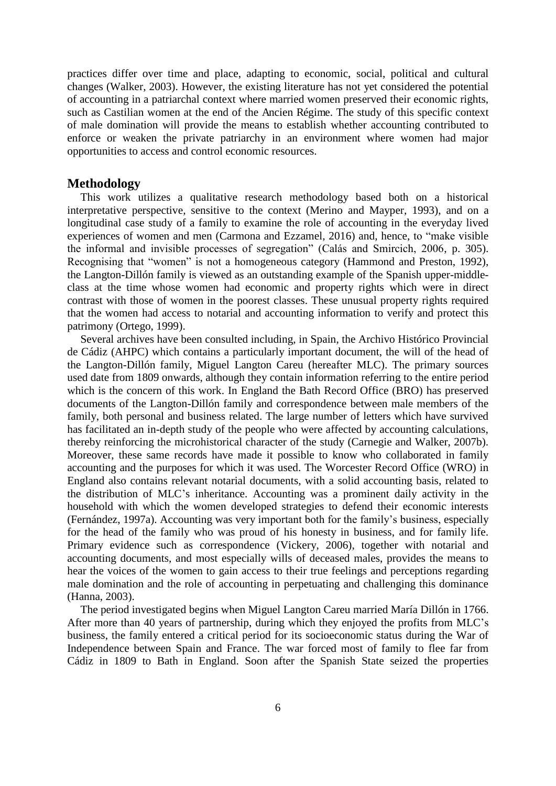practices differ over time and place, adapting to economic, social, political and cultural changes (Walker, 2003). However, the existing literature has not yet considered the potential of accounting in a patriarchal context where married women preserved their economic rights, such as Castilian women at the end of the Ancien Régime. The study of this specific context of male domination will provide the means to establish whether accounting contributed to enforce or weaken the private patriarchy in an environment where women had major opportunities to access and control economic resources.

#### **Methodology**

This work utilizes a qualitative research methodology based both on a historical interpretative perspective, sensitive to the context (Merino and Mayper, 1993), and on a longitudinal case study of a family to examine the role of accounting in the everyday lived experiences of women and men (Carmona and Ezzamel, 2016) and, hence, to "make visible the informal and invisible processes of segregation" (Calás and Smircich, 2006, p. 305). Recognising that "women" is not a homogeneous category (Hammond and Preston, 1992), the Langton-Dillón family is viewed as an outstanding example of the Spanish upper-middleclass at the time whose women had economic and property rights which were in direct contrast with those of women in the poorest classes. These unusual property rights required that the women had access to notarial and accounting information to verify and protect this patrimony (Ortego, 1999).

Several archives have been consulted including, in Spain, the Archivo Histórico Provincial de Cádiz (AHPC) which contains a particularly important document, the will of the head of the Langton-Dillón family, Miguel Langton Careu (hereafter MLC). The primary sources used date from 1809 onwards, although they contain information referring to the entire period which is the concern of this work. In England the Bath Record Office (BRO) has preserved documents of the Langton-Dillón family and correspondence between male members of the family, both personal and business related. The large number of letters which have survived has facilitated an in-depth study of the people who were affected by accounting calculations, thereby reinforcing the microhistorical character of the study (Carnegie and Walker, 2007b). Moreover, these same records have made it possible to know who collaborated in family accounting and the purposes for which it was used. The Worcester Record Office (WRO) in England also contains relevant notarial documents, with a solid accounting basis, related to the distribution of MLC's inheritance. Accounting was a prominent daily activity in the household with which the women developed strategies to defend their economic interests (Fernández, 1997a). Accounting was very important both for the family's business, especially for the head of the family who was proud of his honesty in business, and for family life. Primary evidence such as correspondence (Vickery, 2006), together with notarial and accounting documents, and most especially wills of deceased males, provides the means to hear the voices of the women to gain access to their true feelings and perceptions regarding male domination and the role of accounting in perpetuating and challenging this dominance (Hanna, 2003).

The period investigated begins when Miguel Langton Careu married María Dillón in 1766. After more than 40 years of partnership, during which they enjoyed the profits from MLC's business, the family entered a critical period for its socioeconomic status during the War of Independence between Spain and France. The war forced most of family to flee far from Cádiz in 1809 to Bath in England. Soon after the Spanish State seized the properties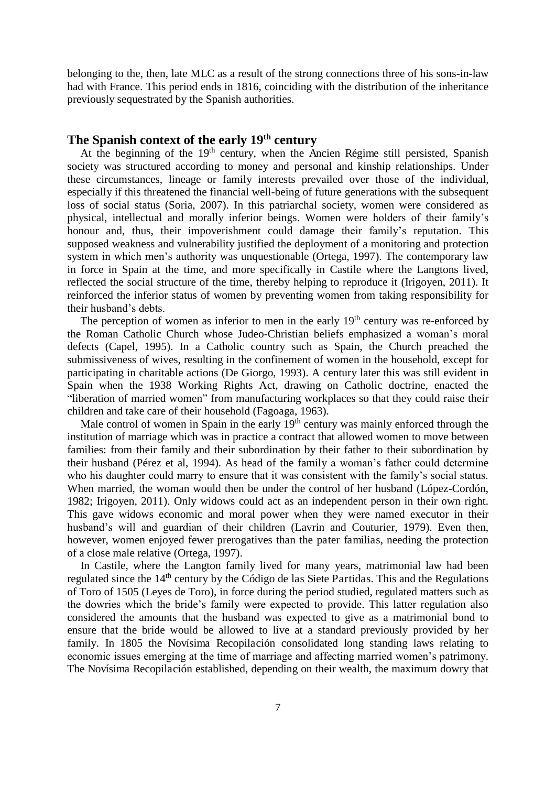belonging to the, then, late MLC as a result of the strong connections three of his sons-in-law had with France. This period ends in 1816, coinciding with the distribution of the inheritance previously sequestrated by the Spanish authorities.

### **The Spanish context of the early 19th century**

At the beginning of the 19<sup>th</sup> century, when the Ancien Régime still persisted, Spanish society was structured according to money and personal and kinship relationships. Under these circumstances, lineage or family interests prevailed over those of the individual, especially if this threatened the financial well-being of future generations with the subsequent loss of social status (Soria, 2007). In this patriarchal society, women were considered as physical, intellectual and morally inferior beings. Women were holders of their family's honour and, thus, their impoverishment could damage their family's reputation. This supposed weakness and vulnerability justified the deployment of a monitoring and protection system in which men's authority was unquestionable (Ortega, 1997). The contemporary law in force in Spain at the time, and more specifically in Castile where the Langtons lived, reflected the social structure of the time, thereby helping to reproduce it (Irigoyen, 2011). It reinforced the inferior status of women by preventing women from taking responsibility for their husband's debts.

The perception of women as inferior to men in the early  $19<sup>th</sup>$  century was re-enforced by the Roman Catholic Church whose Judeo-Christian beliefs emphasized a woman's moral defects (Capel, 1995). In a Catholic country such as Spain, the Church preached the submissiveness of wives, resulting in the confinement of women in the household, except for participating in charitable actions (De Giorgo, 1993). A century later this was still evident in Spain when the 1938 Working Rights Act, drawing on Catholic doctrine, enacted the "liberation of married women" from manufacturing workplaces so that they could raise their children and take care of their household (Fagoaga, 1963).

Male control of women in Spain in the early  $19<sup>th</sup>$  century was mainly enforced through the institution of marriage which was in practice a contract that allowed women to move between families: from their family and their subordination by their father to their subordination by their husband (Pérez et al, 1994). As head of the family a woman's father could determine who his daughter could marry to ensure that it was consistent with the family's social status. When married, the woman would then be under the control of her husband (López-Cordón, 1982; Irigoyen, 2011). Only widows could act as an independent person in their own right. This gave widows economic and moral power when they were named executor in their husband's will and guardian of their children (Lavrin and Couturier, 1979). Even then, however, women enjoyed fewer prerogatives than the pater familias, needing the protection of a close male relative (Ortega, 1997).

In Castile, where the Langton family lived for many years, matrimonial law had been regulated since the 14th century by the Código de las Siete Partidas. This and the Regulations of Toro of 1505 (Leyes de Toro), in force during the period studied, regulated matters such as the dowries which the bride's family were expected to provide. This latter regulation also considered the amounts that the husband was expected to give as a matrimonial bond to ensure that the bride would be allowed to live at a standard previously provided by her family. In 1805 the Novísima Recopilación consolidated long standing laws relating to economic issues emerging at the time of marriage and affecting married women's patrimony. The Novísima Recopilación established, depending on their wealth, the maximum dowry that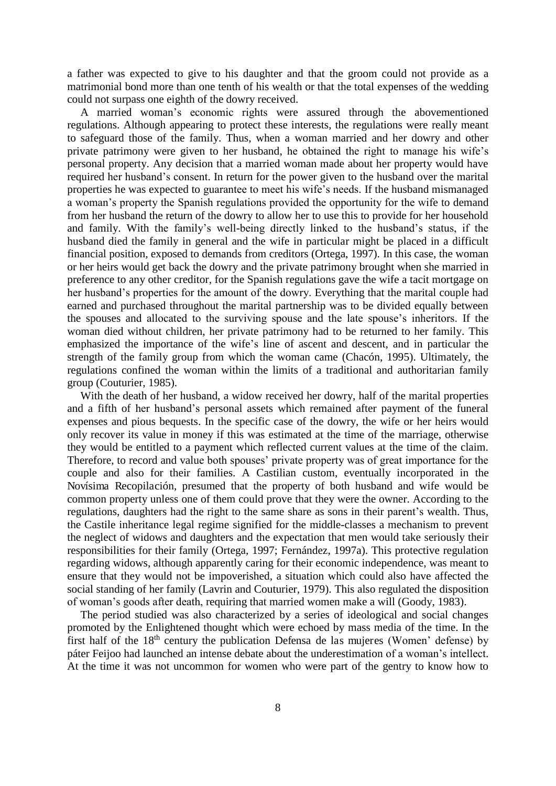a father was expected to give to his daughter and that the groom could not provide as a matrimonial bond more than one tenth of his wealth or that the total expenses of the wedding could not surpass one eighth of the dowry received.

A married woman's economic rights were assured through the abovementioned regulations. Although appearing to protect these interests, the regulations were really meant to safeguard those of the family. Thus, when a woman married and her dowry and other private patrimony were given to her husband, he obtained the right to manage his wife's personal property. Any decision that a married woman made about her property would have required her husband's consent. In return for the power given to the husband over the marital properties he was expected to guarantee to meet his wife's needs. If the husband mismanaged a woman's property the Spanish regulations provided the opportunity for the wife to demand from her husband the return of the dowry to allow her to use this to provide for her household and family. With the family's well-being directly linked to the husband's status, if the husband died the family in general and the wife in particular might be placed in a difficult financial position, exposed to demands from creditors (Ortega, 1997). In this case, the woman or her heirs would get back the dowry and the private patrimony brought when she married in preference to any other creditor, for the Spanish regulations gave the wife a tacit mortgage on her husband's properties for the amount of the dowry. Everything that the marital couple had earned and purchased throughout the marital partnership was to be divided equally between the spouses and allocated to the surviving spouse and the late spouse's inheritors. If the woman died without children, her private patrimony had to be returned to her family. This emphasized the importance of the wife's line of ascent and descent, and in particular the strength of the family group from which the woman came (Chacón, 1995). Ultimately, the regulations confined the woman within the limits of a traditional and authoritarian family group (Couturier, 1985).

With the death of her husband, a widow received her dowry, half of the marital properties and a fifth of her husband's personal assets which remained after payment of the funeral expenses and pious bequests. In the specific case of the dowry, the wife or her heirs would only recover its value in money if this was estimated at the time of the marriage, otherwise they would be entitled to a payment which reflected current values at the time of the claim. Therefore, to record and value both spouses' private property was of great importance for the couple and also for their families. A Castilian custom, eventually incorporated in the Novísima Recopilación, presumed that the property of both husband and wife would be common property unless one of them could prove that they were the owner. According to the regulations, daughters had the right to the same share as sons in their parent's wealth. Thus, the Castile inheritance legal regime signified for the middle-classes a mechanism to prevent the neglect of widows and daughters and the expectation that men would take seriously their responsibilities for their family (Ortega, 1997; Fernández, 1997a). This protective regulation regarding widows, although apparently caring for their economic independence, was meant to ensure that they would not be impoverished, a situation which could also have affected the social standing of her family (Lavrin and Couturier, 1979). This also regulated the disposition of woman's goods after death, requiring that married women make a will (Goody, 1983).

The period studied was also characterized by a series of ideological and social changes promoted by the Enlightened thought which were echoed by mass media of the time. In the first half of the 18<sup>th</sup> century the publication Defensa de las mujeres (Women' defense) by páter Feijoo had launched an intense debate about the underestimation of a woman's intellect. At the time it was not uncommon for women who were part of the gentry to know how to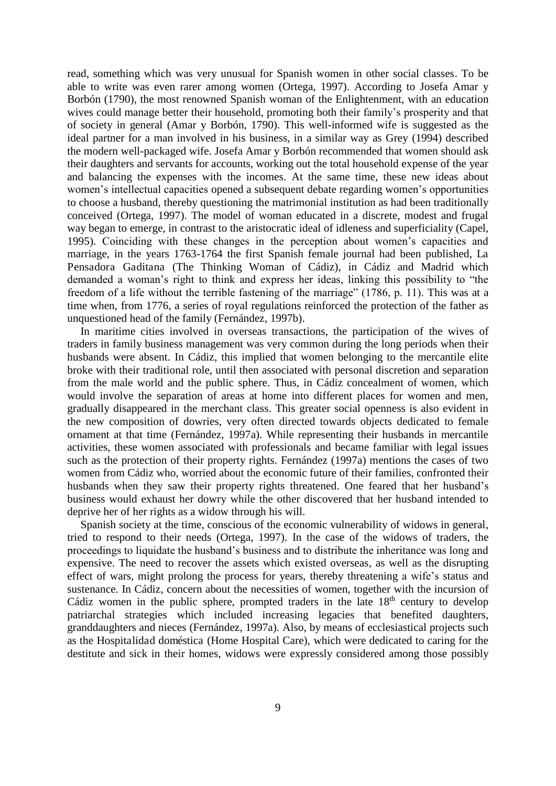read, something which was very unusual for Spanish women in other social classes. To be able to write was even rarer among women (Ortega, 1997). According to Josefa Amar y Borbón (1790), the most renowned Spanish woman of the Enlightenment, with an education wives could manage better their household, promoting both their family's prosperity and that of society in general (Amar y Borbón, 1790). This well-informed wife is suggested as the ideal partner for a man involved in his business, in a similar way as Grey (1994) described the modern well-packaged wife. Josefa Amar y Borbón recommended that women should ask their daughters and servants for accounts, working out the total household expense of the year and balancing the expenses with the incomes. At the same time, these new ideas about women's intellectual capacities opened a subsequent debate regarding women's opportunities to choose a husband, thereby questioning the matrimonial institution as had been traditionally conceived (Ortega, 1997). The model of woman educated in a discrete, modest and frugal way began to emerge, in contrast to the aristocratic ideal of idleness and superficiality (Capel, 1995). Coinciding with these changes in the perception about women's capacities and marriage, in the years 1763-1764 the first Spanish female journal had been published, La Pensadora Gaditana (The Thinking Woman of Cádiz), in Cádiz and Madrid which demanded a woman's right to think and express her ideas, linking this possibility to "the freedom of a life without the terrible fastening of the marriage" (1786, p. 11). This was at a time when, from 1776, a series of royal regulations reinforced the protection of the father as unquestioned head of the family (Fernández, 1997b).

In maritime cities involved in overseas transactions, the participation of the wives of traders in family business management was very common during the long periods when their husbands were absent. In Cádiz, this implied that women belonging to the mercantile elite broke with their traditional role, until then associated with personal discretion and separation from the male world and the public sphere. Thus, in Cádiz concealment of women, which would involve the separation of areas at home into different places for women and men, gradually disappeared in the merchant class. This greater social openness is also evident in the new composition of dowries, very often directed towards objects dedicated to female ornament at that time (Fernández, 1997a). While representing their husbands in mercantile activities, these women associated with professionals and became familiar with legal issues such as the protection of their property rights. Fernández (1997a) mentions the cases of two women from Cádiz who, worried about the economic future of their families, confronted their husbands when they saw their property rights threatened. One feared that her husband's business would exhaust her dowry while the other discovered that her husband intended to deprive her of her rights as a widow through his will.

Spanish society at the time, conscious of the economic vulnerability of widows in general, tried to respond to their needs (Ortega, 1997). In the case of the widows of traders, the proceedings to liquidate the husband's business and to distribute the inheritance was long and expensive. The need to recover the assets which existed overseas, as well as the disrupting effect of wars, might prolong the process for years, thereby threatening a wife's status and sustenance. In Cádiz, concern about the necessities of women, together with the incursion of Cádiz women in the public sphere, prompted traders in the late  $18<sup>th</sup>$  century to develop patriarchal strategies which included increasing legacies that benefited daughters, granddaughters and nieces (Fernández, 1997a). Also, by means of ecclesiastical projects such as the Hospitalidad doméstica (Home Hospital Care), which were dedicated to caring for the destitute and sick in their homes, widows were expressly considered among those possibly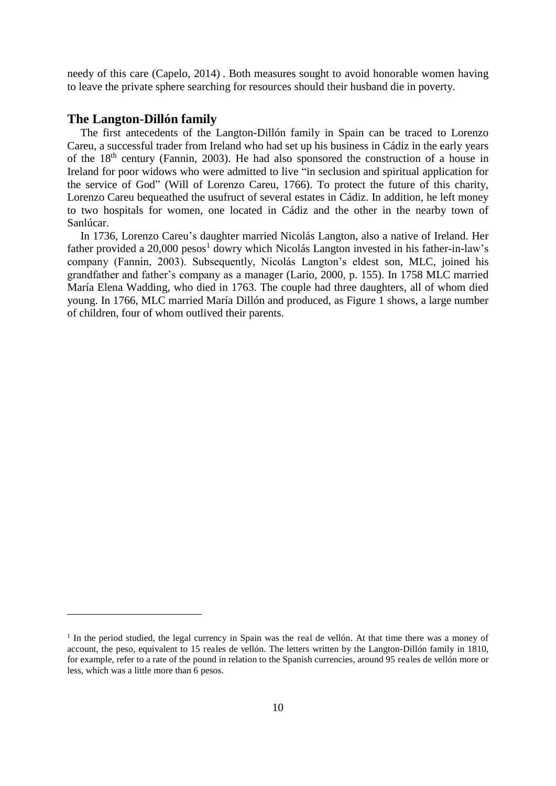needy of this care (Capelo, 2014) . Both measures sought to avoid honorable women having to leave the private sphere searching for resources should their husband die in poverty.

#### **The Langton-Dillón family**

<u>.</u>

The first antecedents of the Langton-Dillón family in Spain can be traced to Lorenzo Careu, a successful trader from Ireland who had set up his business in Cádiz in the early years of the  $18<sup>th</sup>$  century (Fannin, 2003). He had also sponsored the construction of a house in Ireland for poor widows who were admitted to live "in seclusion and spiritual application for the service of God" (Will of Lorenzo Careu, 1766). To protect the future of this charity, Lorenzo Careu bequeathed the usufruct of several estates in Cádiz. In addition, he left money to two hospitals for women, one located in Cádiz and the other in the nearby town of Sanlúcar.

In 1736, Lorenzo Careu's daughter married Nicolás Langton, also a native of Ireland. Her father provided a 20,000 pesos<sup>1</sup> dowry which Nicolás Langton invested in his father-in-law's company (Fannin, 2003). Subsequently, Nicolás Langton's eldest son, MLC, joined his grandfather and father's company as a manager (Lario, 2000, p. 155). In 1758 MLC married María Elena Wadding, who died in 1763. The couple had three daughters, all of whom died young. In 1766, MLC married María Dillón and produced, as Figure 1 shows, a large number of children, four of whom outlived their parents.

<sup>&</sup>lt;sup>1</sup> In the period studied, the legal currency in Spain was the real de vellón. At that time there was a money of account, the peso, equivalent to 15 reales de vellón. The letters written by the Langton-Dillón family in 1810, for example, refer to a rate of the pound in relation to the Spanish currencies, around 95 reales de vellón more or less, which was a little more than 6 pesos.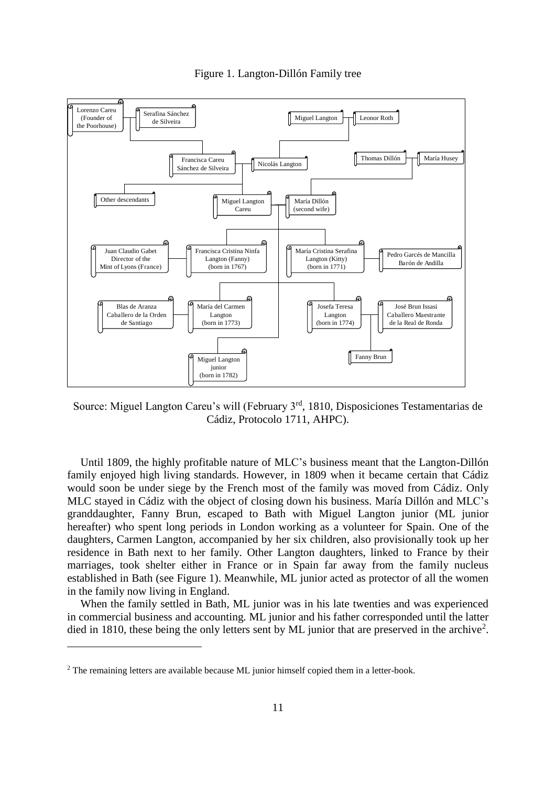

Figure 1. Langton-Dillón Family tree

Source: Miguel Langton Careu's will (February 3rd, 1810, Disposiciones Testamentarias de Cádiz, Protocolo 1711, AHPC).

Until 1809, the highly profitable nature of MLC's business meant that the Langton-Dillón family enjoyed high living standards. However, in 1809 when it became certain that Cádiz would soon be under siege by the French most of the family was moved from Cádiz. Only MLC stayed in Cádiz with the object of closing down his business. María Dillón and MLC's granddaughter, Fanny Brun, escaped to Bath with Miguel Langton junior (ML junior hereafter) who spent long periods in London working as a volunteer for Spain. One of the daughters, Carmen Langton, accompanied by her six children, also provisionally took up her residence in Bath next to her family. Other Langton daughters, linked to France by their marriages, took shelter either in France or in Spain far away from the family nucleus established in Bath (see Figure 1). Meanwhile, ML junior acted as protector of all the women in the family now living in England.

When the family settled in Bath, ML junior was in his late twenties and was experienced in commercial business and accounting. ML junior and his father corresponded until the latter died in 1810, these being the only letters sent by ML junior that are preserved in the archive<sup>2</sup>.

<u>.</u>

 $2$  The remaining letters are available because ML junior himself copied them in a letter-book.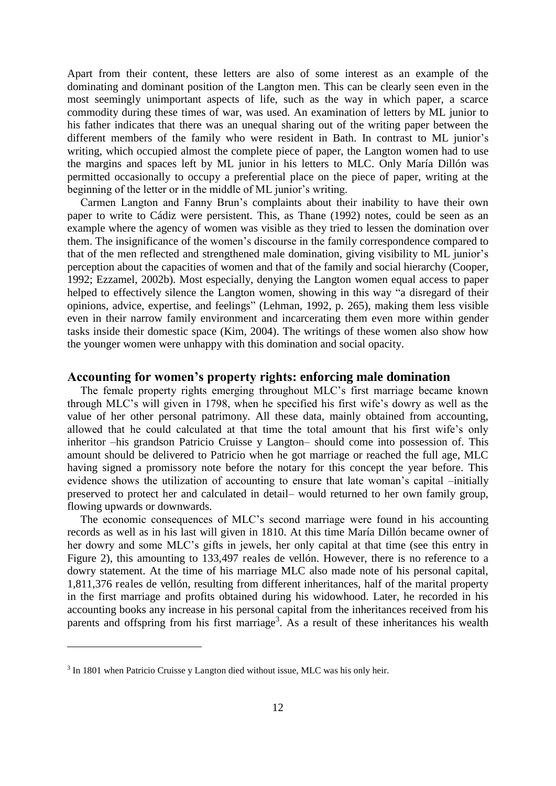Apart from their content, these letters are also of some interest as an example of the dominating and dominant position of the Langton men. This can be clearly seen even in the most seemingly unimportant aspects of life, such as the way in which paper, a scarce commodity during these times of war, was used. An examination of letters by ML junior to his father indicates that there was an unequal sharing out of the writing paper between the different members of the family who were resident in Bath. In contrast to ML junior's writing, which occupied almost the complete piece of paper, the Langton women had to use the margins and spaces left by ML junior in his letters to MLC. Only María Dillón was permitted occasionally to occupy a preferential place on the piece of paper, writing at the beginning of the letter or in the middle of ML junior's writing.

Carmen Langton and Fanny Brun's complaints about their inability to have their own paper to write to Cádiz were persistent. This, as Thane (1992) notes, could be seen as an example where the agency of women was visible as they tried to lessen the domination over them. The insignificance of the women's discourse in the family correspondence compared to that of the men reflected and strengthened male domination, giving visibility to ML junior's perception about the capacities of women and that of the family and social hierarchy (Cooper, 1992; Ezzamel, 2002b). Most especially, denying the Langton women equal access to paper helped to effectively silence the Langton women, showing in this way "a disregard of their opinions, advice, expertise, and feelings" (Lehman, 1992, p. 265), making them less visible even in their narrow family environment and incarcerating them even more within gender tasks inside their domestic space (Kim, 2004). The writings of these women also show how the younger women were unhappy with this domination and social opacity.

#### **Accounting for women's property rights: enforcing male domination**

The female property rights emerging throughout MLC's first marriage became known through MLC's will given in 1798, when he specified his first wife's dowry as well as the value of her other personal patrimony. All these data, mainly obtained from accounting, allowed that he could calculated at that time the total amount that his first wife's only inheritor –his grandson Patricio Cruisse y Langton– should come into possession of. This amount should be delivered to Patricio when he got marriage or reached the full age, MLC having signed a promissory note before the notary for this concept the year before. This evidence shows the utilization of accounting to ensure that late woman's capital –initially preserved to protect her and calculated in detail– would returned to her own family group, flowing upwards or downwards.

The economic consequences of MLC's second marriage were found in his accounting records as well as in his last will given in 1810. At this time María Dillón became owner of her dowry and some MLC's gifts in jewels, her only capital at that time (see this entry in Figure 2), this amounting to 133,497 reales de vellón. However, there is no reference to a dowry statement. At the time of his marriage MLC also made note of his personal capital, 1,811,376 reales de vellón, resulting from different inheritances, half of the marital property in the first marriage and profits obtained during his widowhood. Later, he recorded in his accounting books any increase in his personal capital from the inheritances received from his parents and offspring from his first marriage<sup>3</sup>. As a result of these inheritances his wealth

<u>.</u>

<sup>&</sup>lt;sup>3</sup> In 1801 when Patricio Cruisse y Langton died without issue, MLC was his only heir.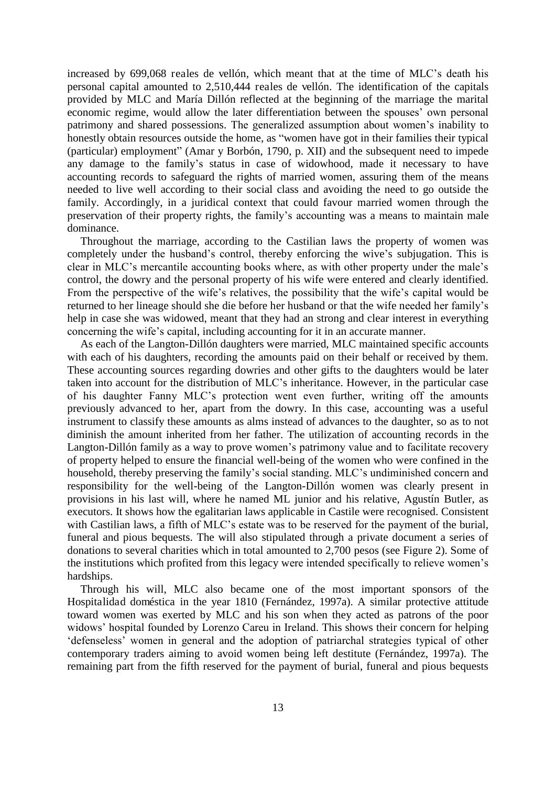increased by 699,068 reales de vellón, which meant that at the time of MLC's death his personal capital amounted to 2,510,444 reales de vellón. The identification of the capitals provided by MLC and María Dillón reflected at the beginning of the marriage the marital economic regime, would allow the later differentiation between the spouses' own personal patrimony and shared possessions. The generalized assumption about women's inability to honestly obtain resources outside the home, as "women have got in their families their typical (particular) employment" (Amar y Borbón, 1790, p. XII) and the subsequent need to impede any damage to the family's status in case of widowhood, made it necessary to have accounting records to safeguard the rights of married women, assuring them of the means needed to live well according to their social class and avoiding the need to go outside the family. Accordingly, in a juridical context that could favour married women through the preservation of their property rights, the family's accounting was a means to maintain male dominance.

Throughout the marriage, according to the Castilian laws the property of women was completely under the husband's control, thereby enforcing the wive's subjugation. This is clear in MLC's mercantile accounting books where, as with other property under the male's control, the dowry and the personal property of his wife were entered and clearly identified. From the perspective of the wife's relatives, the possibility that the wife's capital would be returned to her lineage should she die before her husband or that the wife needed her family's help in case she was widowed, meant that they had an strong and clear interest in everything concerning the wife's capital, including accounting for it in an accurate manner.

As each of the Langton-Dillón daughters were married, MLC maintained specific accounts with each of his daughters, recording the amounts paid on their behalf or received by them. These accounting sources regarding dowries and other gifts to the daughters would be later taken into account for the distribution of MLC's inheritance. However, in the particular case of his daughter Fanny MLC's protection went even further, writing off the amounts previously advanced to her, apart from the dowry. In this case, accounting was a useful instrument to classify these amounts as alms instead of advances to the daughter, so as to not diminish the amount inherited from her father. The utilization of accounting records in the Langton-Dillón family as a way to prove women's patrimony value and to facilitate recovery of property helped to ensure the financial well-being of the women who were confined in the household, thereby preserving the family's social standing. MLC's undiminished concern and responsibility for the well-being of the Langton-Dillón women was clearly present in provisions in his last will, where he named ML junior and his relative, Agustín Butler, as executors. It shows how the egalitarian laws applicable in Castile were recognised. Consistent with Castilian laws, a fifth of MLC's estate was to be reserved for the payment of the burial, funeral and pious bequests. The will also stipulated through a private document a series of donations to several charities which in total amounted to 2,700 pesos (see Figure 2). Some of the institutions which profited from this legacy were intended specifically to relieve women's hardships.

Through his will, MLC also became one of the most important sponsors of the Hospitalidad doméstica in the year 1810 (Fernández, 1997a). A similar protective attitude toward women was exerted by MLC and his son when they acted as patrons of the poor widows' hospital founded by Lorenzo Careu in Ireland. This shows their concern for helping 'defenseless' women in general and the adoption of patriarchal strategies typical of other contemporary traders aiming to avoid women being left destitute (Fernández, 1997a). The remaining part from the fifth reserved for the payment of burial, funeral and pious bequests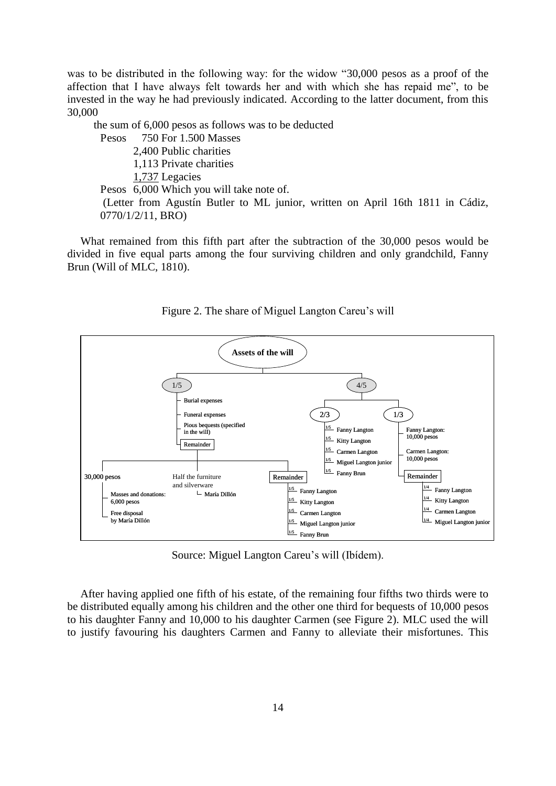was to be distributed in the following way: for the widow "30,000 pesos as a proof of the affection that I have always felt towards her and with which she has repaid me", to be invested in the way he had previously indicated. According to the latter document, from this 30,000

the sum of 6,000 pesos as follows was to be deducted

Pesos 750 For 1.500 Masses 2,400 Public charities

1,113 Private charities

1,737 Legacies

Pesos 6,000 Which you will take note of.

 (Letter from Agustín Butler to ML junior, written on April 16th 1811 in Cádiz, 0770/1/2/11, BRO)

What remained from this fifth part after the subtraction of the 30,000 pesos would be divided in five equal parts among the four surviving children and only grandchild, Fanny Brun (Will of MLC, 1810).



Figure 2. The share of Miguel Langton Careu's will

Source: Miguel Langton Careu's will (Ibídem).

After having applied one fifth of his estate, of the remaining four fifths two thirds were to be distributed equally among his children and the other one third for bequests of 10,000 pesos to his daughter Fanny and 10,000 to his daughter Carmen (see Figure 2). MLC used the will to justify favouring his daughters Carmen and Fanny to alleviate their misfortunes. This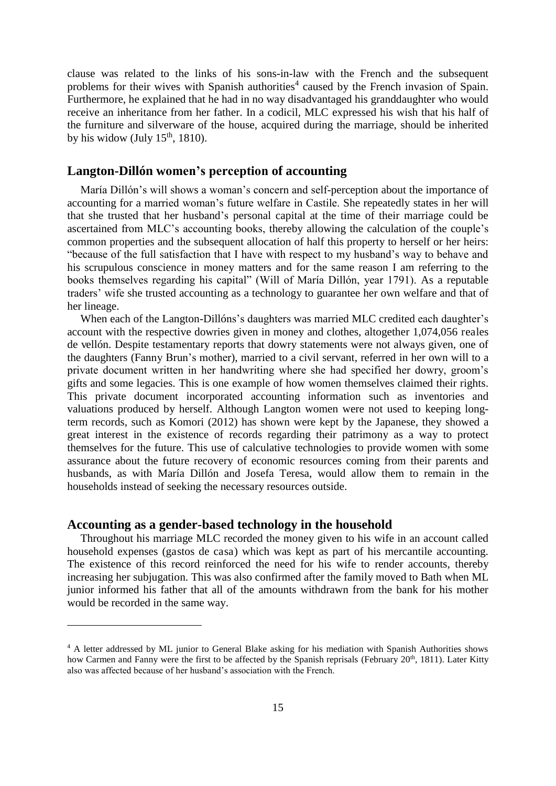clause was related to the links of his sons-in-law with the French and the subsequent problems for their wives with Spanish authorities<sup>4</sup> caused by the French invasion of Spain. Furthermore, he explained that he had in no way disadvantaged his granddaughter who would receive an inheritance from her father. In a codicil, MLC expressed his wish that his half of the furniture and silverware of the house, acquired during the marriage, should be inherited by his widow (July  $15<sup>th</sup>$ , 1810).

#### **Langton-Dillón women's perception of accounting**

María Dillón's will shows a woman's concern and self-perception about the importance of accounting for a married woman's future welfare in Castile. She repeatedly states in her will that she trusted that her husband's personal capital at the time of their marriage could be ascertained from MLC's accounting books, thereby allowing the calculation of the couple's common properties and the subsequent allocation of half this property to herself or her heirs: "because of the full satisfaction that I have with respect to my husband's way to behave and his scrupulous conscience in money matters and for the same reason I am referring to the books themselves regarding his capital" (Will of María Dillón, year 1791). As a reputable traders' wife she trusted accounting as a technology to guarantee her own welfare and that of her lineage.

When each of the Langton-Dillóns's daughters was married MLC credited each daughter's account with the respective dowries given in money and clothes, altogether 1,074,056 reales de vellón. Despite testamentary reports that dowry statements were not always given, one of the daughters (Fanny Brun's mother), married to a civil servant, referred in her own will to a private document written in her handwriting where she had specified her dowry, groom's gifts and some legacies. This is one example of how women themselves claimed their rights. This private document incorporated accounting information such as inventories and valuations produced by herself. Although Langton women were not used to keeping longterm records, such as Komori (2012) has shown were kept by the Japanese, they showed a great interest in the existence of records regarding their patrimony as a way to protect themselves for the future. This use of calculative technologies to provide women with some assurance about the future recovery of economic resources coming from their parents and husbands, as with María Dillón and Josefa Teresa, would allow them to remain in the households instead of seeking the necessary resources outside.

#### **Accounting as a gender-based technology in the household**

-

Throughout his marriage MLC recorded the money given to his wife in an account called household expenses (gastos de casa) which was kept as part of his mercantile accounting. The existence of this record reinforced the need for his wife to render accounts, thereby increasing her subjugation. This was also confirmed after the family moved to Bath when ML junior informed his father that all of the amounts withdrawn from the bank for his mother would be recorded in the same way.

<sup>&</sup>lt;sup>4</sup> A letter addressed by ML junior to General Blake asking for his mediation with Spanish Authorities shows how Carmen and Fanny were the first to be affected by the Spanish reprisals (February  $20<sup>th</sup>$ , 1811). Later Kitty also was affected because of her husband's association with the French.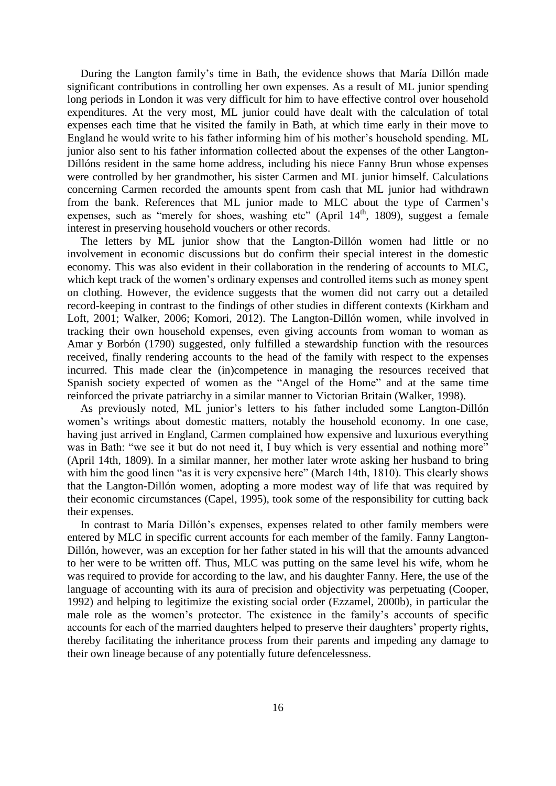During the Langton family's time in Bath, the evidence shows that María Dillón made significant contributions in controlling her own expenses. As a result of ML junior spending long periods in London it was very difficult for him to have effective control over household expenditures. At the very most, ML junior could have dealt with the calculation of total expenses each time that he visited the family in Bath, at which time early in their move to England he would write to his father informing him of his mother's household spending. ML junior also sent to his father information collected about the expenses of the other Langton-Dillóns resident in the same home address, including his niece Fanny Brun whose expenses were controlled by her grandmother, his sister Carmen and ML junior himself. Calculations concerning Carmen recorded the amounts spent from cash that ML junior had withdrawn from the bank. References that ML junior made to MLC about the type of Carmen's expenses, such as "merely for shoes, washing etc" (April 14<sup>th</sup>, 1809), suggest a female interest in preserving household vouchers or other records.

The letters by ML junior show that the Langton-Dillón women had little or no involvement in economic discussions but do confirm their special interest in the domestic economy. This was also evident in their collaboration in the rendering of accounts to MLC, which kept track of the women's ordinary expenses and controlled items such as money spent on clothing. However, the evidence suggests that the women did not carry out a detailed record-keeping in contrast to the findings of other studies in different contexts (Kirkham and Loft, 2001; Walker, 2006; Komori, 2012). The Langton-Dillón women, while involved in tracking their own household expenses, even giving accounts from woman to woman as Amar y Borbón (1790) suggested, only fulfilled a stewardship function with the resources received, finally rendering accounts to the head of the family with respect to the expenses incurred. This made clear the (in)competence in managing the resources received that Spanish society expected of women as the "Angel of the Home" and at the same time reinforced the private patriarchy in a similar manner to Victorian Britain (Walker, 1998).

As previously noted, ML junior's letters to his father included some Langton-Dillón women's writings about domestic matters, notably the household economy. In one case, having just arrived in England, Carmen complained how expensive and luxurious everything was in Bath: "we see it but do not need it. I buy which is very essential and nothing more" (April 14th, 1809). In a similar manner, her mother later wrote asking her husband to bring with him the good linen "as it is very expensive here" (March 14th, 1810). This clearly shows that the Langton-Dillón women, adopting a more modest way of life that was required by their economic circumstances (Capel, 1995), took some of the responsibility for cutting back their expenses.

In contrast to María Dillón's expenses, expenses related to other family members were entered by MLC in specific current accounts for each member of the family. Fanny Langton-Dillón, however, was an exception for her father stated in his will that the amounts advanced to her were to be written off. Thus, MLC was putting on the same level his wife, whom he was required to provide for according to the law, and his daughter Fanny. Here, the use of the language of accounting with its aura of precision and objectivity was perpetuating (Cooper, 1992) and helping to legitimize the existing social order (Ezzamel, 2000b), in particular the male role as the women's protector. The existence in the family's accounts of specific accounts for each of the married daughters helped to preserve their daughters' property rights, thereby facilitating the inheritance process from their parents and impeding any damage to their own lineage because of any potentially future defencelessness.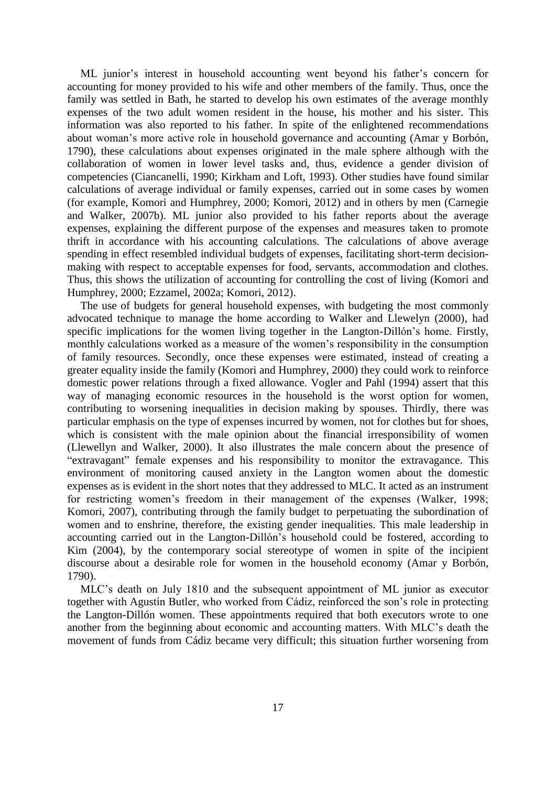ML junior's interest in household accounting went beyond his father's concern for accounting for money provided to his wife and other members of the family. Thus, once the family was settled in Bath, he started to develop his own estimates of the average monthly expenses of the two adult women resident in the house, his mother and his sister. This information was also reported to his father. In spite of the enlightened recommendations about woman's more active role in household governance and accounting (Amar y Borbón, 1790), these calculations about expenses originated in the male sphere although with the collaboration of women in lower level tasks and, thus, evidence a gender division of competencies (Ciancanelli, 1990; Kirkham and Loft, 1993). Other studies have found similar calculations of average individual or family expenses, carried out in some cases by women (for example, Komori and Humphrey, 2000; Komori, 2012) and in others by men (Carnegie and Walker, 2007b). ML junior also provided to his father reports about the average expenses, explaining the different purpose of the expenses and measures taken to promote thrift in accordance with his accounting calculations. The calculations of above average spending in effect resembled individual budgets of expenses, facilitating short-term decisionmaking with respect to acceptable expenses for food, servants, accommodation and clothes. Thus, this shows the utilization of accounting for controlling the cost of living (Komori and Humphrey, 2000; Ezzamel, 2002a; Komori, 2012).

The use of budgets for general household expenses, with budgeting the most commonly advocated technique to manage the home according to Walker and Llewelyn (2000), had specific implications for the women living together in the Langton-Dillón's home. Firstly, monthly calculations worked as a measure of the women's responsibility in the consumption of family resources. Secondly, once these expenses were estimated, instead of creating a greater equality inside the family (Komori and Humphrey, 2000) they could work to reinforce domestic power relations through a fixed allowance. Vogler and Pahl (1994) assert that this way of managing economic resources in the household is the worst option for women, contributing to worsening inequalities in decision making by spouses. Thirdly, there was particular emphasis on the type of expenses incurred by women, not for clothes but for shoes, which is consistent with the male opinion about the financial irresponsibility of women (Llewellyn and Walker, 2000). It also illustrates the male concern about the presence of "extravagant" female expenses and his responsibility to monitor the extravagance. This environment of monitoring caused anxiety in the Langton women about the domestic expenses as is evident in the short notes that they addressed to MLC. It acted as an instrument for restricting women's freedom in their management of the expenses (Walker, 1998; Komori, 2007), contributing through the family budget to perpetuating the subordination of women and to enshrine, therefore, the existing gender inequalities. This male leadership in accounting carried out in the Langton-Dillón's household could be fostered, according to Kim (2004), by the contemporary social stereotype of women in spite of the incipient discourse about a desirable role for women in the household economy (Amar y Borbón, 1790).

MLC's death on July 1810 and the subsequent appointment of ML junior as executor together with Agustín Butler, who worked from Cádiz, reinforced the son's role in protecting the Langton-Dillón women. These appointments required that both executors wrote to one another from the beginning about economic and accounting matters. With MLC's death the movement of funds from Cádiz became very difficult; this situation further worsening from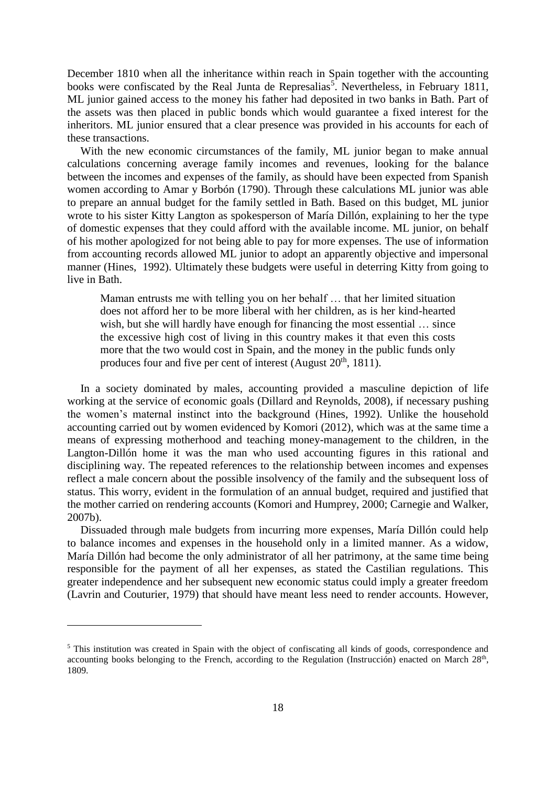December 1810 when all the inheritance within reach in Spain together with the accounting books were confiscated by the Real Junta de Represalias<sup>5</sup>. Nevertheless, in February 1811, ML junior gained access to the money his father had deposited in two banks in Bath. Part of the assets was then placed in public bonds which would guarantee a fixed interest for the inheritors. ML junior ensured that a clear presence was provided in his accounts for each of these transactions.

With the new economic circumstances of the family, ML junior began to make annual calculations concerning average family incomes and revenues, looking for the balance between the incomes and expenses of the family, as should have been expected from Spanish women according to Amar y Borbón (1790). Through these calculations ML junior was able to prepare an annual budget for the family settled in Bath. Based on this budget, ML junior wrote to his sister Kitty Langton as spokesperson of María Dillón, explaining to her the type of domestic expenses that they could afford with the available income. ML junior, on behalf of his mother apologized for not being able to pay for more expenses. The use of information from accounting records allowed ML junior to adopt an apparently objective and impersonal manner (Hines, 1992). Ultimately these budgets were useful in deterring Kitty from going to live in Bath.

Maman entrusts me with telling you on her behalf … that her limited situation does not afford her to be more liberal with her children, as is her kind-hearted wish, but she will hardly have enough for financing the most essential ... since the excessive high cost of living in this country makes it that even this costs more that the two would cost in Spain, and the money in the public funds only produces four and five per cent of interest (August 20<sup>th</sup>, 1811).

In a society dominated by males, accounting provided a masculine depiction of life working at the service of economic goals (Dillard and Reynolds, 2008), if necessary pushing the women's maternal instinct into the background (Hines, 1992). Unlike the household accounting carried out by women evidenced by Komori (2012), which was at the same time a means of expressing motherhood and teaching money-management to the children, in the Langton-Dillón home it was the man who used accounting figures in this rational and disciplining way. The repeated references to the relationship between incomes and expenses reflect a male concern about the possible insolvency of the family and the subsequent loss of status. This worry, evident in the formulation of an annual budget, required and justified that the mother carried on rendering accounts (Komori and Humprey, 2000; Carnegie and Walker, 2007b).

Dissuaded through male budgets from incurring more expenses, María Dillón could help to balance incomes and expenses in the household only in a limited manner. As a widow, María Dillón had become the only administrator of all her patrimony, at the same time being responsible for the payment of all her expenses, as stated the Castilian regulations. This greater independence and her subsequent new economic status could imply a greater freedom (Lavrin and Couturier, 1979) that should have meant less need to render accounts. However,

-

<sup>&</sup>lt;sup>5</sup> This institution was created in Spain with the object of confiscating all kinds of goods, correspondence and accounting books belonging to the French, according to the Regulation (Instrucción) enacted on March 28<sup>th</sup>, 1809.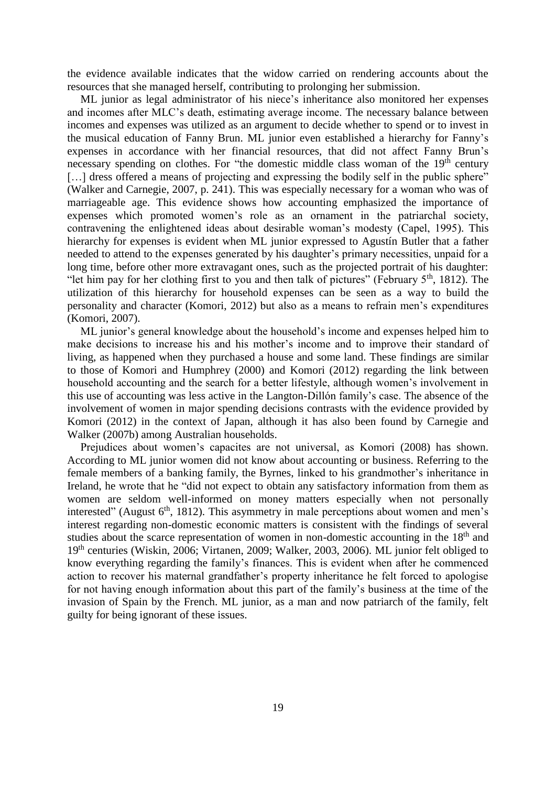the evidence available indicates that the widow carried on rendering accounts about the resources that she managed herself, contributing to prolonging her submission.

ML junior as legal administrator of his niece's inheritance also monitored her expenses and incomes after MLC's death, estimating average income. The necessary balance between incomes and expenses was utilized as an argument to decide whether to spend or to invest in the musical education of Fanny Brun. ML junior even established a hierarchy for Fanny's expenses in accordance with her financial resources, that did not affect Fanny Brun's necessary spending on clothes. For "the domestic middle class woman of the  $19<sup>th</sup>$  century [...] dress offered a means of projecting and expressing the bodily self in the public sphere" (Walker and Carnegie, 2007, p. 241). This was especially necessary for a woman who was of marriageable age. This evidence shows how accounting emphasized the importance of expenses which promoted women's role as an ornament in the patriarchal society, contravening the enlightened ideas about desirable woman's modesty (Capel, 1995). This hierarchy for expenses is evident when ML junior expressed to Agustín Butler that a father needed to attend to the expenses generated by his daughter's primary necessities, unpaid for a long time, before other more extravagant ones, such as the projected portrait of his daughter: "let him pay for her clothing first to you and then talk of pictures" (February  $5<sup>th</sup>$ , 1812). The utilization of this hierarchy for household expenses can be seen as a way to build the personality and character (Komori, 2012) but also as a means to refrain men's expenditures (Komori, 2007).

ML junior's general knowledge about the household's income and expenses helped him to make decisions to increase his and his mother's income and to improve their standard of living, as happened when they purchased a house and some land. These findings are similar to those of Komori and Humphrey (2000) and Komori (2012) regarding the link between household accounting and the search for a better lifestyle, although women's involvement in this use of accounting was less active in the Langton-Dillón family's case. The absence of the involvement of women in major spending decisions contrasts with the evidence provided by Komori (2012) in the context of Japan, although it has also been found by Carnegie and Walker (2007b) among Australian households.

Prejudices about women's capacites are not universal, as Komori (2008) has shown. According to ML junior women did not know about accounting or business. Referring to the female members of a banking family, the Byrnes, linked to his grandmother's inheritance in Ireland, he wrote that he "did not expect to obtain any satisfactory information from them as women are seldom well-informed on money matters especially when not personally interested" (August  $6<sup>th</sup>$ , 1812). This asymmetry in male perceptions about women and men's interest regarding non-domestic economic matters is consistent with the findings of several studies about the scarce representation of women in non-domestic accounting in the 18<sup>th</sup> and 19th centuries (Wiskin, 2006; Virtanen, 2009; Walker, 2003, 2006). ML junior felt obliged to know everything regarding the family's finances. This is evident when after he commenced action to recover his maternal grandfather's property inheritance he felt forced to apologise for not having enough information about this part of the family's business at the time of the invasion of Spain by the French. ML junior, as a man and now patriarch of the family, felt guilty for being ignorant of these issues.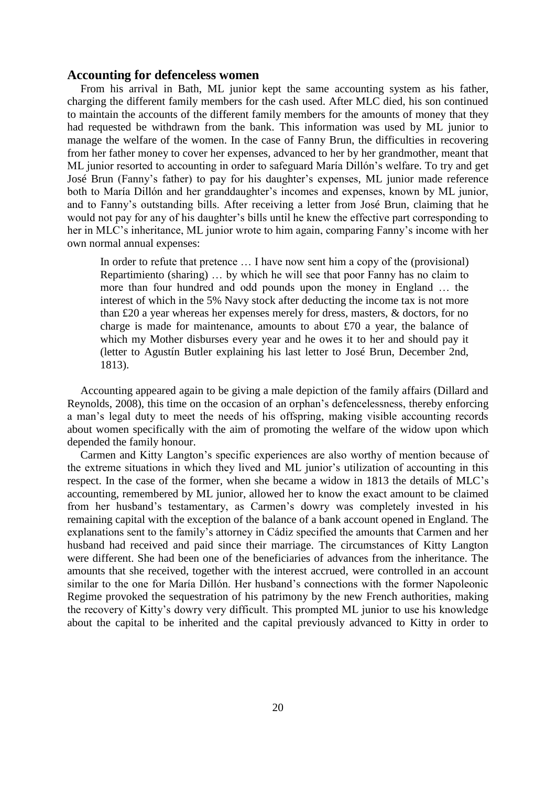#### **Accounting for defenceless women**

From his arrival in Bath, ML junior kept the same accounting system as his father, charging the different family members for the cash used. After MLC died, his son continued to maintain the accounts of the different family members for the amounts of money that they had requested be withdrawn from the bank. This information was used by ML junior to manage the welfare of the women. In the case of Fanny Brun, the difficulties in recovering from her father money to cover her expenses, advanced to her by her grandmother, meant that ML junior resorted to accounting in order to safeguard María Dillón's welfare. To try and get José Brun (Fanny's father) to pay for his daughter's expenses, ML junior made reference both to María Dillón and her granddaughter's incomes and expenses, known by ML junior, and to Fanny's outstanding bills. After receiving a letter from José Brun, claiming that he would not pay for any of his daughter's bills until he knew the effective part corresponding to her in MLC's inheritance, ML junior wrote to him again, comparing Fanny's income with her own normal annual expenses:

In order to refute that pretence … I have now sent him a copy of the (provisional) Repartimiento (sharing) … by which he will see that poor Fanny has no claim to more than four hundred and odd pounds upon the money in England … the interest of which in the 5% Navy stock after deducting the income tax is not more than £20 a year whereas her expenses merely for dress, masters, & doctors, for no charge is made for maintenance, amounts to about £70 a year, the balance of which my Mother disburses every year and he owes it to her and should pay it (letter to Agustín Butler explaining his last letter to José Brun, December 2nd, 1813).

Accounting appeared again to be giving a male depiction of the family affairs (Dillard and Reynolds, 2008), this time on the occasion of an orphan's defencelessness, thereby enforcing a man's legal duty to meet the needs of his offspring, making visible accounting records about women specifically with the aim of promoting the welfare of the widow upon which depended the family honour.

Carmen and Kitty Langton's specific experiences are also worthy of mention because of the extreme situations in which they lived and ML junior's utilization of accounting in this respect. In the case of the former, when she became a widow in 1813 the details of MLC's accounting, remembered by ML junior, allowed her to know the exact amount to be claimed from her husband's testamentary, as Carmen's dowry was completely invested in his remaining capital with the exception of the balance of a bank account opened in England. The explanations sent to the family's attorney in Cádiz specified the amounts that Carmen and her husband had received and paid since their marriage. The circumstances of Kitty Langton were different. She had been one of the beneficiaries of advances from the inheritance. The amounts that she received, together with the interest accrued, were controlled in an account similar to the one for María Dillón. Her husband's connections with the former Napoleonic Regime provoked the sequestration of his patrimony by the new French authorities, making the recovery of Kitty's dowry very difficult. This prompted ML junior to use his knowledge about the capital to be inherited and the capital previously advanced to Kitty in order to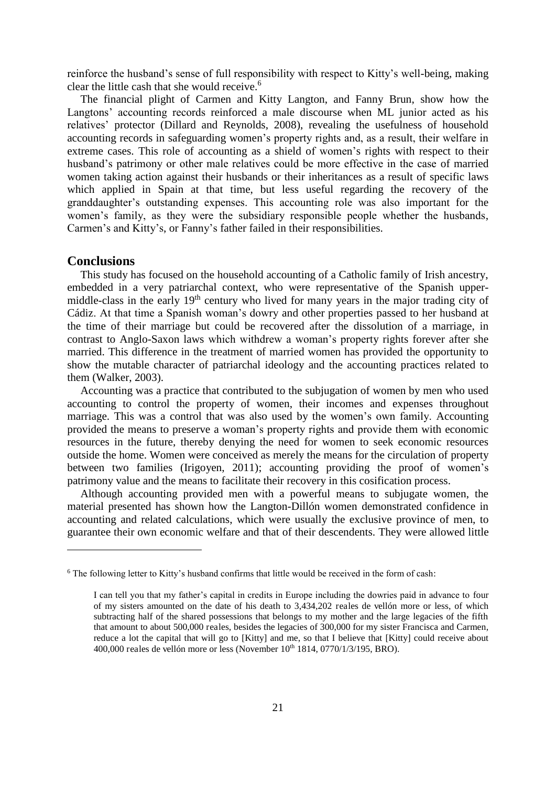reinforce the husband's sense of full responsibility with respect to Kitty's well-being, making clear the little cash that she would receive.<sup>6</sup>

The financial plight of Carmen and Kitty Langton, and Fanny Brun, show how the Langtons' accounting records reinforced a male discourse when ML junior acted as his relatives' protector (Dillard and Reynolds, 2008), revealing the usefulness of household accounting records in safeguarding women's property rights and, as a result, their welfare in extreme cases. This role of accounting as a shield of women's rights with respect to their husband's patrimony or other male relatives could be more effective in the case of married women taking action against their husbands or their inheritances as a result of specific laws which applied in Spain at that time, but less useful regarding the recovery of the granddaughter's outstanding expenses. This accounting role was also important for the women's family, as they were the subsidiary responsible people whether the husbands, Carmen's and Kitty's, or Fanny's father failed in their responsibilities.

#### **Conclusions**

<u>.</u>

This study has focused on the household accounting of a Catholic family of Irish ancestry, embedded in a very patriarchal context, who were representative of the Spanish uppermiddle-class in the early 19<sup>th</sup> century who lived for many years in the major trading city of Cádiz. At that time a Spanish woman's dowry and other properties passed to her husband at the time of their marriage but could be recovered after the dissolution of a marriage, in contrast to Anglo-Saxon laws which withdrew a woman's property rights forever after she married. This difference in the treatment of married women has provided the opportunity to show the mutable character of patriarchal ideology and the accounting practices related to them (Walker, 2003).

Accounting was a practice that contributed to the subjugation of women by men who used accounting to control the property of women, their incomes and expenses throughout marriage. This was a control that was also used by the women's own family. Accounting provided the means to preserve a woman's property rights and provide them with economic resources in the future, thereby denying the need for women to seek economic resources outside the home. Women were conceived as merely the means for the circulation of property between two families (Irigoyen, 2011); accounting providing the proof of women's patrimony value and the means to facilitate their recovery in this cosification process.

Although accounting provided men with a powerful means to subjugate women, the material presented has shown how the Langton-Dillón women demonstrated confidence in accounting and related calculations, which were usually the exclusive province of men, to guarantee their own economic welfare and that of their descendents. They were allowed little

<sup>6</sup> The following letter to Kitty's husband confirms that little would be received in the form of cash:

I can tell you that my father's capital in credits in Europe including the dowries paid in advance to four of my sisters amounted on the date of his death to 3,434,202 reales de vellón more or less, of which subtracting half of the shared possessions that belongs to my mother and the large legacies of the fifth that amount to about 500,000 reales, besides the legacies of 300,000 for my sister Francisca and Carmen, reduce a lot the capital that will go to [Kitty] and me, so that I believe that [Kitty] could receive about 400,000 reales de vellón more or less (November 10<sup>th</sup> 1814, 0770/1/3/195, BRO).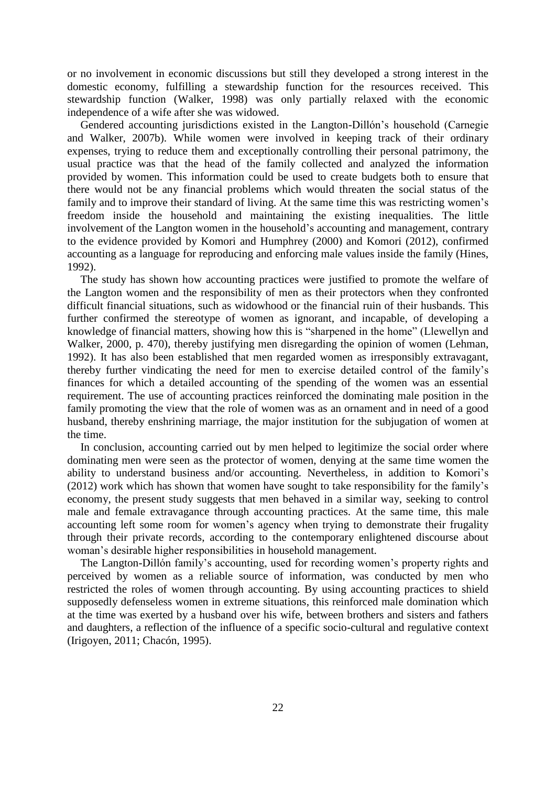or no involvement in economic discussions but still they developed a strong interest in the domestic economy, fulfilling a stewardship function for the resources received. This stewardship function (Walker, 1998) was only partially relaxed with the economic independence of a wife after she was widowed.

Gendered accounting jurisdictions existed in the Langton-Dillón's household (Carnegie and Walker, 2007b). While women were involved in keeping track of their ordinary expenses, trying to reduce them and exceptionally controlling their personal patrimony, the usual practice was that the head of the family collected and analyzed the information provided by women. This information could be used to create budgets both to ensure that there would not be any financial problems which would threaten the social status of the family and to improve their standard of living. At the same time this was restricting women's freedom inside the household and maintaining the existing inequalities. The little involvement of the Langton women in the household's accounting and management, contrary to the evidence provided by Komori and Humphrey (2000) and Komori (2012), confirmed accounting as a language for reproducing and enforcing male values inside the family (Hines, 1992).

The study has shown how accounting practices were justified to promote the welfare of the Langton women and the responsibility of men as their protectors when they confronted difficult financial situations, such as widowhood or the financial ruin of their husbands. This further confirmed the stereotype of women as ignorant, and incapable, of developing a knowledge of financial matters, showing how this is "sharpened in the home" (Llewellyn and Walker, 2000, p. 470), thereby justifying men disregarding the opinion of women (Lehman, 1992). It has also been established that men regarded women as irresponsibly extravagant, thereby further vindicating the need for men to exercise detailed control of the family's finances for which a detailed accounting of the spending of the women was an essential requirement. The use of accounting practices reinforced the dominating male position in the family promoting the view that the role of women was as an ornament and in need of a good husband, thereby enshrining marriage, the major institution for the subjugation of women at the time.

In conclusion, accounting carried out by men helped to legitimize the social order where dominating men were seen as the protector of women, denying at the same time women the ability to understand business and/or accounting. Nevertheless, in addition to Komori's (2012) work which has shown that women have sought to take responsibility for the family's economy, the present study suggests that men behaved in a similar way, seeking to control male and female extravagance through accounting practices. At the same time, this male accounting left some room for women's agency when trying to demonstrate their frugality through their private records, according to the contemporary enlightened discourse about woman's desirable higher responsibilities in household management.

The Langton-Dillón family's accounting, used for recording women's property rights and perceived by women as a reliable source of information, was conducted by men who restricted the roles of women through accounting. By using accounting practices to shield supposedly defenseless women in extreme situations, this reinforced male domination which at the time was exerted by a husband over his wife, between brothers and sisters and fathers and daughters, a reflection of the influence of a specific socio-cultural and regulative context (Irigoyen, 2011; Chacón, 1995).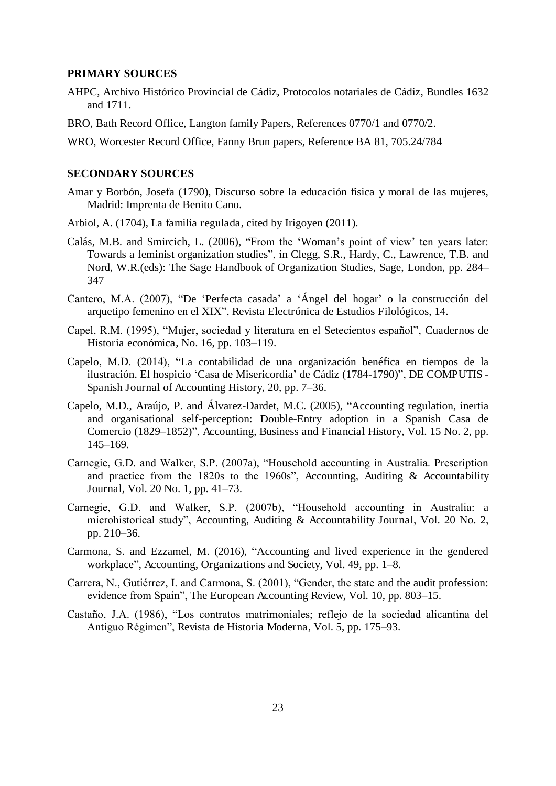#### **PRIMARY SOURCES**

- AHPC, Archivo Histórico Provincial de Cádiz, Protocolos notariales de Cádiz, Bundles 1632 and 1711.
- BRO, Bath Record Office, Langton family Papers, References 0770/1 and 0770/2.
- WRO, Worcester Record Office, Fanny Brun papers, Reference BA 81, 705.24/784

#### **SECONDARY SOURCES**

- Amar y Borbón, Josefa (1790), Discurso sobre la educación física y moral de las mujeres, Madrid: Imprenta de Benito Cano.
- Arbiol, A. (1704), La familia regulada, cited by Irigoyen (2011).
- Calás, M.B. and Smircich, L. (2006), "From the 'Woman's point of view' ten years later: Towards a feminist organization studies", in Clegg, S.R., Hardy, C., Lawrence, T.B. and Nord, W.R.(eds): The Sage Handbook of Organization Studies, Sage, London, pp. 284– 347
- Cantero, M.A. (2007), "De 'Perfecta casada' a 'Ángel del hogar' o la construcción del arquetipo femenino en el XIX", Revista Electrónica de Estudios Filológicos, 14.
- Capel, R.M. (1995), "Mujer, sociedad y literatura en el Setecientos español", Cuadernos de Historia económica, No. 16, pp. 103–119.
- Capelo, M.D. (2014), "La contabilidad de una organización benéfica en tiempos de la ilustración. El hospicio 'Casa de Misericordia' de Cádiz (1784-1790)", DE COMPUTIS - Spanish Journal of Accounting History, 20, pp. 7–36.
- Capelo, M.D., Araújo, P. and Álvarez-Dardet, M.C. (2005), "Accounting regulation, inertia and organisational self-perception: Double-Entry adoption in a Spanish Casa de Comercio (1829–1852)", Accounting, Business and Financial History, Vol. 15 No. 2, pp. 145–169.
- Carnegie, G.D. and Walker, S.P. (2007a), "Household accounting in Australia. Prescription and practice from the 1820s to the 1960s", Accounting, Auditing & Accountability Journal, Vol. 20 No. 1, pp. 41–73.
- Carnegie, G.D. and Walker, S.P. (2007b), "Household accounting in Australia: a microhistorical study", Accounting, Auditing & Accountability Journal, Vol. 20 No. 2, pp. 210–36.
- Carmona, S. and Ezzamel, M. (2016), "Accounting and lived experience in the gendered workplace", Accounting, Organizations and Society, Vol. 49, pp. 1–8.
- Carrera, N., Gutiérrez, I. and Carmona, S. (2001), "Gender, the state and the audit profession: evidence from Spain", The European Accounting Review, Vol. 10, pp. 803–15.
- Castaño, J.A. (1986), "Los contratos matrimoniales; reflejo de la sociedad alicantina del Antiguo Régimen", Revista de Historia Moderna, Vol. 5, pp. 175–93.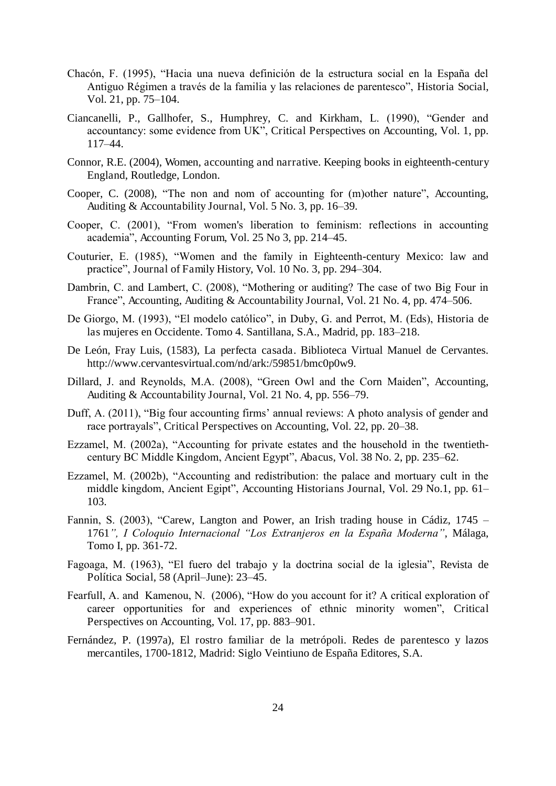- Chacón, F. (1995), "Hacia una nueva definición de la estructura social en la España del Antiguo Régimen a través de la familia y las relaciones de parentesco", Historia Social, Vol. 21, pp. 75–104.
- Ciancanelli, P., Gallhofer, S., Humphrey, C. and Kirkham, L. (1990), "Gender and accountancy: some evidence from UK", Critical Perspectives on Accounting, Vol. 1, pp. 117–44.
- Connor, R.E. (2004), Women, accounting and narrative. Keeping books in eighteenth-century England, Routledge, London.
- Cooper, C. (2008), "The non and nom of accounting for (m)other nature", Accounting, Auditing & Accountability Journal, Vol. 5 No. 3, pp. 16–39.
- Cooper, C. (2001), "From women's liberation to feminism: reflections in accounting academia", Accounting Forum, Vol. 25 No 3, pp. 214–45.
- Couturier, E. (1985), "Women and the family in Eighteenth-century Mexico: law and practice", Journal of Family History, Vol. 10 No. 3, pp. 294–304.
- Dambrin, C. and Lambert, C. (2008), "Mothering or auditing? The case of two Big Four in France", Accounting, Auditing & Accountability Journal, Vol. 21 No. 4, pp. 474–506.
- De Giorgo, M. (1993), "El modelo católico", in Duby, G. and Perrot, M. (Eds), Historia de las mujeres en Occidente. Tomo 4. Santillana, S.A., Madrid, pp. 183–218.
- De León, Fray Luis, (1583), La perfecta casada. Biblioteca Virtual Manuel de Cervantes. http://www.cervantesvirtual.com/nd/ark:/59851/bmc0p0w9.
- Dillard, J. and Reynolds, M.A. (2008), "Green Owl and the Corn Maiden", Accounting, Auditing & Accountability Journal, Vol. 21 No. 4, pp. 556–79.
- Duff, A. (2011), "Big four accounting firms' annual reviews: A photo analysis of gender and race portrayals", Critical Perspectives on Accounting, Vol. 22, pp. 20–38.
- Ezzamel, M. (2002a), "Accounting for private estates and the household in the twentiethcentury BC Middle Kingdom, Ancient Egypt", Abacus, Vol. 38 No. 2, pp. 235–62.
- Ezzamel, M. (2002b), "Accounting and redistribution: the palace and mortuary cult in the middle kingdom, Ancient Egipt", Accounting Historians Journal, Vol. 29 No.1, pp. 61– 103.
- Fannin, S. (2003), "Carew, Langton and Power, an Irish trading house in Cádiz, 1745 1761*", I Coloquio Internacional "Los Extranjeros en la España Moderna"*, Málaga, Tomo I, pp. 361-72.
- Fagoaga, M. (1963), "El fuero del trabajo y la doctrina social de la iglesia", Revista de Política Social, 58 (April–June): 23–45.
- Fearfull, A. and Kamenou, N. (2006), "How do you account for it? A critical exploration of career opportunities for and experiences of ethnic minority women", Critical Perspectives on Accounting, Vol. 17, pp. 883–901.
- Fernández, P. (1997a), El rostro familiar de la metrópoli. Redes de parentesco y lazos mercantiles, 1700-1812, Madrid: Siglo Veintiuno de España Editores, S.A.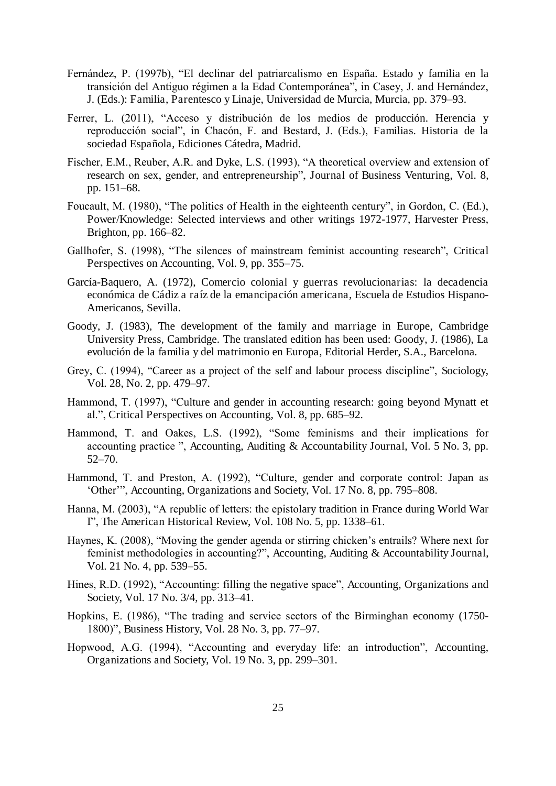- Fernández, P. (1997b), "El declinar del patriarcalismo en España. Estado y familia en la transición del Antiguo régimen a la Edad Contemporánea", in Casey, J. and Hernández, J. (Eds.): Familia, Parentesco y Linaje, Universidad de Murcia, Murcia, pp. 379–93.
- Ferrer, L. (2011), "Acceso y distribución de los medios de producción. Herencia y reproducción social", in Chacón, F. and Bestard, J. (Eds.), Familias. Historia de la sociedad Española, Ediciones Cátedra, Madrid.
- Fischer, E.M., Reuber, A.R. and Dyke, L.S. (1993), "A theoretical overview and extension of research on sex, gender, and entrepreneurship", Journal of Business Venturing, Vol. 8, pp. 151–68.
- Foucault, M. (1980), "The politics of Health in the eighteenth century", in Gordon, C. (Ed.), Power/Knowledge: Selected interviews and other writings 1972-1977, Harvester Press, Brighton, pp. 166–82.
- Gallhofer, S. (1998), "The silences of mainstream feminist accounting research", Critical Perspectives on Accounting, Vol. 9, pp. 355–75.
- García-Baquero, A. (1972), Comercio colonial y guerras revolucionarias: la decadencia económica de Cádiz a raíz de la emancipación americana, Escuela de Estudios Hispano-Americanos, Sevilla.
- Goody, J. (1983), The development of the family and marriage in Europe, Cambridge University Press, Cambridge. The translated edition has been used: Goody, J. (1986), La evolución de la familia y del matrimonio en Europa, Editorial Herder, S.A., Barcelona.
- Grey, C. (1994), "Career as a project of the self and labour process discipline", Sociology, Vol. 28, No. 2, pp. 479–97.
- Hammond, T. (1997), "Culture and gender in accounting research: going beyond Mynatt et al.", Critical Perspectives on Accounting, Vol. 8, pp. 685–92.
- Hammond, T. and Oakes, L.S. (1992), "Some feminisms and their implications for accounting practice ", Accounting, Auditing & Accountability Journal, Vol. 5 No. 3, pp. 52–70.
- Hammond, T. and Preston, A. (1992), "Culture, gender and corporate control: Japan as 'Other'", Accounting, Organizations and Society, Vol. 17 No. 8, pp. 795–808.
- Hanna, M. (2003), "A republic of letters: the epistolary tradition in France during World War I", The American Historical Review, Vol. 108 No. 5, pp. 1338–61.
- Haynes, K. (2008), "Moving the gender agenda or stirring chicken's entrails? Where next for feminist methodologies in accounting?", Accounting, Auditing & Accountability Journal, Vol. 21 No. 4, pp. 539–55.
- Hines, R.D. (1992), "Accounting: filling the negative space", Accounting, Organizations and Society, Vol. 17 No. 3/4, pp. 313–41.
- Hopkins, E. (1986), "The trading and service sectors of the Birminghan economy (1750- 1800)", Business History, Vol. 28 No. 3, pp. 77–97.
- Hopwood, A.G. (1994), "Accounting and everyday life: an introduction", Accounting, Organizations and Society, Vol. 19 No. 3, pp. 299–301.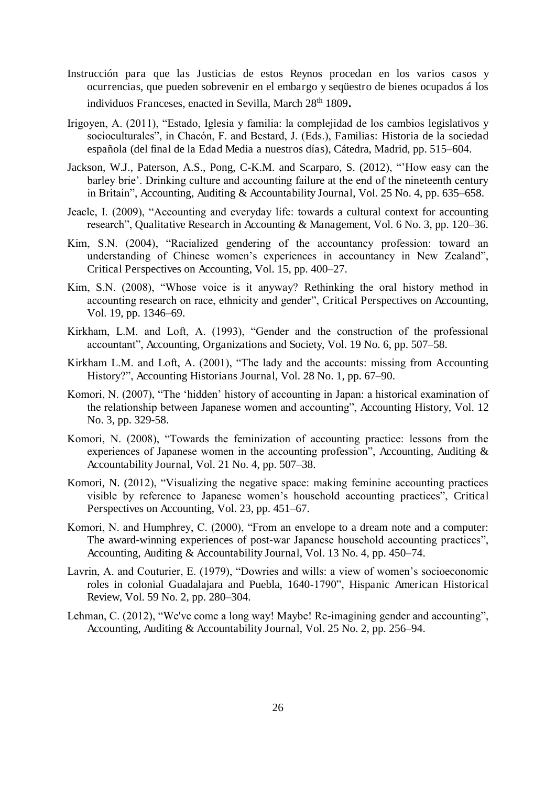- Instrucción para que las Justicias de estos Reynos procedan en los varios casos y ocurrencias, que pueden sobrevenir en el embargo y seqüestro de bienes ocupados á los individuos Franceses, enacted in Sevilla, March 28<sup>th</sup> 1809.
- Irigoyen, A. (2011), "Estado, Iglesia y familia: la complejidad de los cambios legislativos y socioculturales", in Chacón, F. and Bestard, J. (Eds.), Familias: Historia de la sociedad española (del final de la Edad Media a nuestros días), Cátedra, Madrid, pp. 515–604.
- Jackson, W.J., Paterson, A.S., Pong, C-K.M. and Scarparo, S. (2012), "'How easy can the barley brie'. Drinking culture and accounting failure at the end of the nineteenth century in Britain", Accounting, Auditing & Accountability Journal, Vol. 25 No. 4, pp. 635–658.
- Jeacle, I. (2009), "Accounting and everyday life: towards a cultural context for accounting research", Qualitative Research in Accounting & Management, Vol. 6 No. 3, pp. 120–36.
- Kim, S.N. (2004), "Racialized gendering of the accountancy profession: toward an understanding of Chinese women's experiences in accountancy in New Zealand", Critical Perspectives on Accounting, Vol. 15, pp. 400–27.
- Kim, S.N. (2008), "Whose voice is it anyway? Rethinking the oral history method in accounting research on race, ethnicity and gender", Critical Perspectives on Accounting, Vol. 19, pp. 1346–69.
- Kirkham, L.M. and Loft, A. (1993), "Gender and the construction of the professional accountant", Accounting, Organizations and Society, Vol. 19 No. 6, pp. 507–58.
- Kirkham L.M. and Loft, A. (2001), "The lady and the accounts: missing from Accounting History?", Accounting Historians Journal, Vol. 28 No. 1, pp. 67–90.
- Komori, N. (2007), "The 'hidden' history of accounting in Japan: a historical examination of the relationship between Japanese women and accounting", Accounting History, Vol. 12 No. 3, pp. 329-58.
- Komori, N. (2008), "Towards the feminization of accounting practice: lessons from the experiences of Japanese women in the accounting profession", Accounting, Auditing & Accountability Journal, Vol. 21 No. 4, pp. 507–38.
- Komori, N. (2012), "Visualizing the negative space: making feminine accounting practices visible by reference to Japanese women's household accounting practices", Critical Perspectives on Accounting, Vol. 23, pp. 451–67.
- Komori, N. and Humphrey, C. (2000), "From an envelope to a dream note and a computer: The award-winning experiences of post-war Japanese household accounting practices", Accounting, Auditing & Accountability Journal, Vol. 13 No. 4, pp. 450–74.
- Lavrin, A. and Couturier, E. (1979), "Dowries and wills: a view of women's socioeconomic roles in colonial Guadalajara and Puebla, 1640-1790", Hispanic American Historical Review, Vol. 59 No. 2, pp. 280–304.
- Lehman, C. (2012), "We've come a long way! Maybe! Re-imagining gender and accounting", Accounting, Auditing & Accountability Journal, Vol. 25 No. 2, pp. 256–94.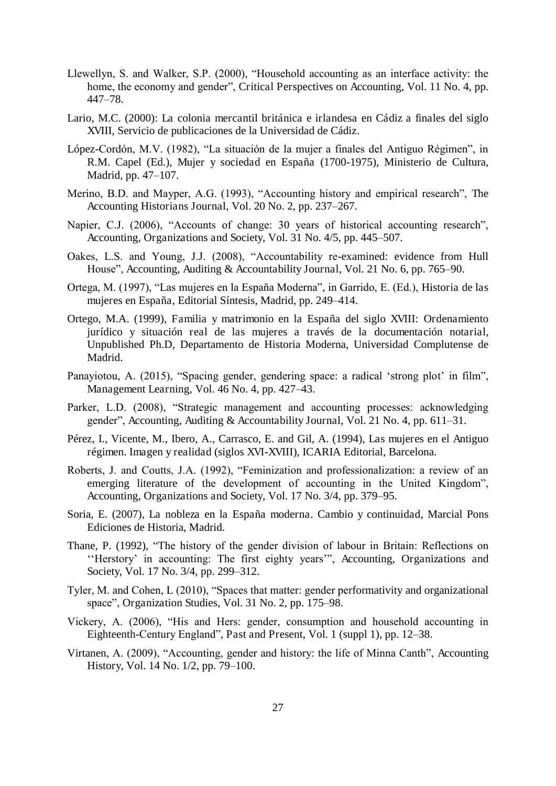- Llewellyn, S. and Walker, S.P. (2000), "Household accounting as an interface activity: the home, the economy and gender", Critical Perspectives on Accounting, Vol. 11 No. 4, pp. 447–78.
- Lario, M.C. (2000): La colonia mercantil británica e irlandesa en Cádiz a finales del siglo XVIII, Servicio de publicaciones de la Universidad de Cádiz.
- López-Cordón, M.V. (1982), "La situación de la mujer a finales del Antiguo Régimen", in R.M. Capel (Ed.), Mujer y sociedad en España (1700-1975), Ministerio de Cultura, Madrid, pp. 47–107.
- Merino, B.D. and Mayper, A.G. (1993), "Accounting history and empirical research", The Accounting Historians Journal, Vol. 20 No. 2, pp. 237–267.
- Napier, C.J. (2006), "Accounts of change: 30 years of historical accounting research", Accounting, Organizations and Society, Vol. 31 No. 4/5, pp. 445–507.
- Oakes, L.S. and Young, J.J. (2008), "Accountability re-examined: evidence from Hull House", Accounting, Auditing & Accountability Journal, Vol. 21 No. 6, pp. 765–90.
- Ortega, M. (1997), "Las mujeres en la España Moderna", in Garrido, E. (Ed.), Historia de las mujeres en España, Editorial Síntesis, Madrid, pp. 249–414.
- Ortego, M.A. (1999), Familia y matrimonio en la España del siglo XVIII: Ordenamiento jurídico y situación real de las mujeres a través de la documentación notarial, Unpublished Ph.D, Departamento de Historia Moderna, Universidad Complutense de Madrid.
- Panayiotou, A. (2015), "Spacing gender, gendering space: a radical 'strong plot' in film", Management Learning, Vol. 46 No. 4, pp. 427–43.
- Parker, L.D. (2008), "Strategic management and accounting processes: acknowledging gender", Accounting, Auditing & Accountability Journal, Vol. 21 No. 4, pp. 611–31.
- Pérez, I., Vicente, M., Ibero, A., Carrasco, E. and Gil, A. (1994), Las mujeres en el Antiguo régimen. Imagen y realidad (siglos XVI-XVIII), ICARIA Editorial, Barcelona.
- Roberts, J. and Coutts, J.A. (1992), "Feminization and professionalization: a review of an emerging literature of the development of accounting in the United Kingdom", Accounting, Organizations and Society, Vol. 17 No. 3/4, pp. 379–95.
- Soria, E. (2007), La nobleza en la España moderna. Cambio y continuidad, Marcial Pons Ediciones de Historia, Madrid.
- Thane, P. (1992), "The history of the gender division of labour in Britain: Reflections on ''Herstory' in accounting: The first eighty years'", Accounting, Organizations and Society, Vol. 17 No. 3/4, pp. 299–312.
- Tyler, M. and Cohen, L (2010), "Spaces that matter: gender performativity and organizational space", Organization Studies, Vol. 31 No. 2, pp. 175–98.
- Vickery, A. (2006), "His and Hers: gender, consumption and household accounting in Eighteenth-Century England", Past and Present, Vol. 1 (suppl 1), pp. 12–38.
- Virtanen, A. (2009), "Accounting, gender and history: the life of Minna Canth", Accounting History, Vol. 14 No. 1/2, pp. 79–100.